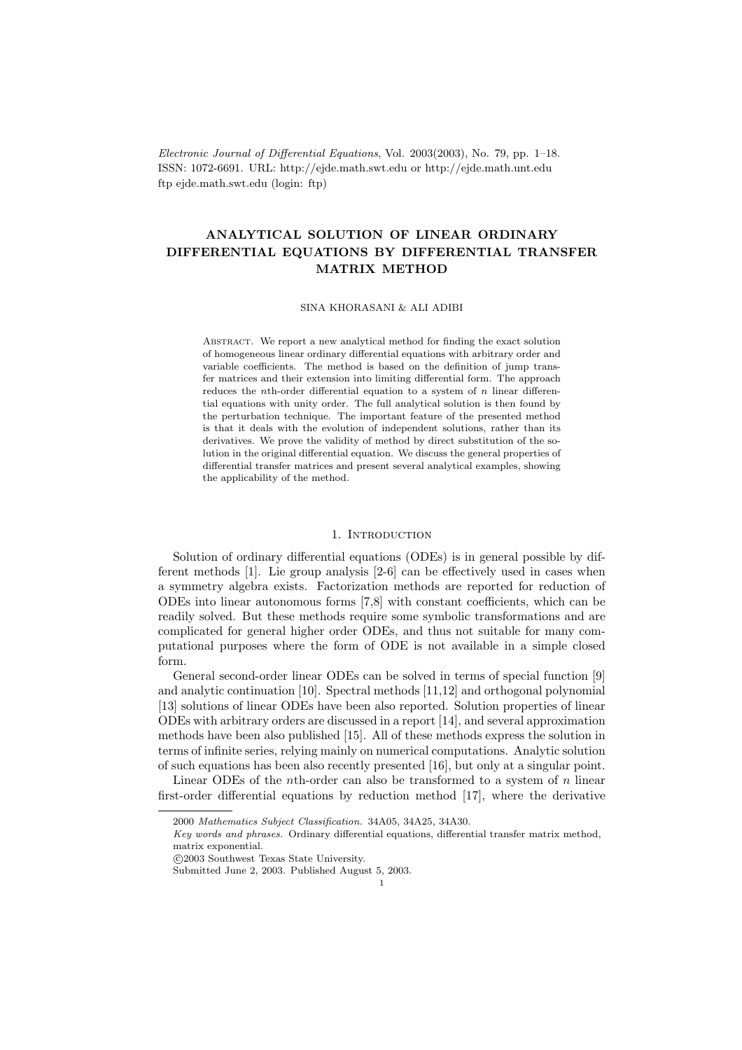Electronic Journal of Differential Equations, Vol. 2003(2003), No. 79, pp. 1–18. ISSN: 1072-6691. URL: http://ejde.math.swt.edu or http://ejde.math.unt.edu ftp ejde.math.swt.edu (login: ftp)

# ANALYTICAL SOLUTION OF LINEAR ORDINARY DIFFERENTIAL EQUATIONS BY DIFFERENTIAL TRANSFER MATRIX METHOD

SINA KHORASANI & ALI ADIBI

ABSTRACT. We report a new analytical method for finding the exact solution of homogeneous linear ordinary differential equations with arbitrary order and variable coefficients. The method is based on the definition of jump transfer matrices and their extension into limiting differential form. The approach reduces the *n*th-order differential equation to a system of  $n$  linear differential equations with unity order. The full analytical solution is then found by the perturbation technique. The important feature of the presented method is that it deals with the evolution of independent solutions, rather than its derivatives. We prove the validity of method by direct substitution of the solution in the original differential equation. We discuss the general properties of differential transfer matrices and present several analytical examples, showing the applicability of the method.

#### 1. INTRODUCTION

Solution of ordinary differential equations (ODEs) is in general possible by different methods [1]. Lie group analysis [2-6] can be effectively used in cases when a symmetry algebra exists. Factorization methods are reported for reduction of ODEs into linear autonomous forms [7,8] with constant coefficients, which can be readily solved. But these methods require some symbolic transformations and are complicated for general higher order ODEs, and thus not suitable for many computational purposes where the form of ODE is not available in a simple closed form.

General second-order linear ODEs can be solved in terms of special function [9] and analytic continuation [10]. Spectral methods [11,12] and orthogonal polynomial [13] solutions of linear ODEs have been also reported. Solution properties of linear ODEs with arbitrary orders are discussed in a report [14], and several approximation methods have been also published [15]. All of these methods express the solution in terms of infinite series, relying mainly on numerical computations. Analytic solution of such equations has been also recently presented [16], but only at a singular point.

Linear ODEs of the *n*th-order can also be transformed to a system of  $n$  linear first-order differential equations by reduction method [17], where the derivative

c 2003 Southwest Texas State University.

Submitted June 2, 2003. Published August 5, 2003.

<sup>2000</sup> Mathematics Subject Classification. 34A05, 34A25, 34A30.

Key words and phrases. Ordinary differential equations, differential transfer matrix method, matrix exponential.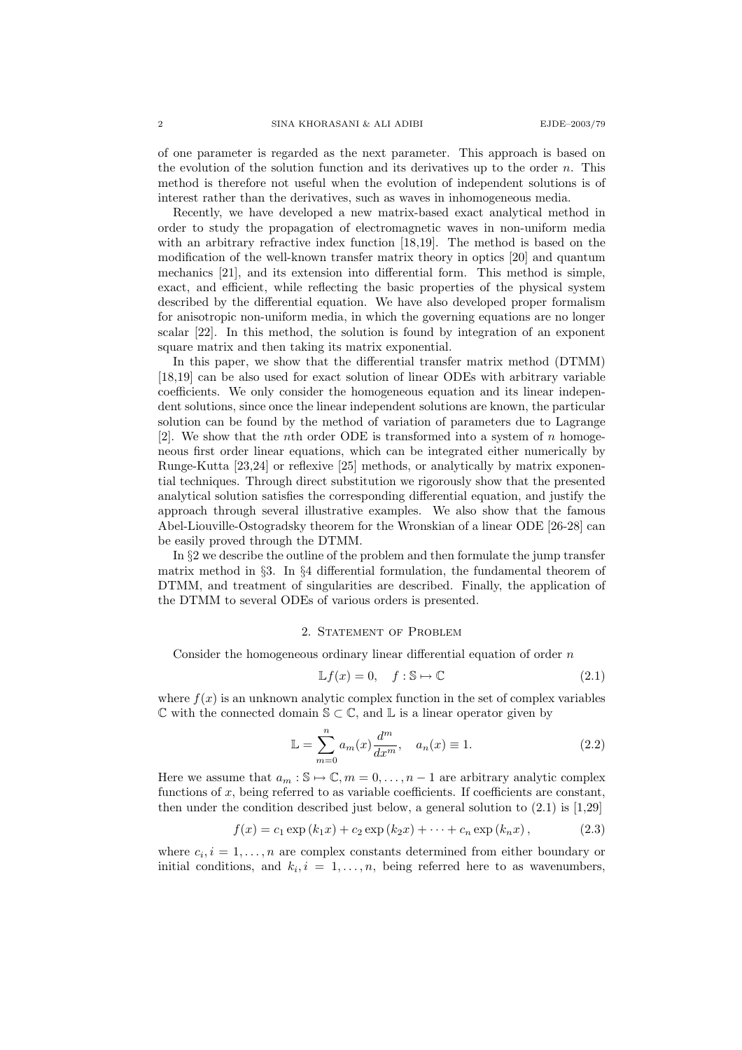of one parameter is regarded as the next parameter. This approach is based on the evolution of the solution function and its derivatives up to the order  $n$ . This method is therefore not useful when the evolution of independent solutions is of interest rather than the derivatives, such as waves in inhomogeneous media.

Recently, we have developed a new matrix-based exact analytical method in order to study the propagation of electromagnetic waves in non-uniform media with an arbitrary refractive index function [18,19]. The method is based on the modification of the well-known transfer matrix theory in optics [20] and quantum mechanics [21], and its extension into differential form. This method is simple, exact, and efficient, while reflecting the basic properties of the physical system described by the differential equation. We have also developed proper formalism for anisotropic non-uniform media, in which the governing equations are no longer scalar [22]. In this method, the solution is found by integration of an exponent square matrix and then taking its matrix exponential.

In this paper, we show that the differential transfer matrix method (DTMM) [18,19] can be also used for exact solution of linear ODEs with arbitrary variable coefficients. We only consider the homogeneous equation and its linear independent solutions, since once the linear independent solutions are known, the particular solution can be found by the method of variation of parameters due to Lagrange [2]. We show that the *n*th order ODE is transformed into a system of *n* homogeneous first order linear equations, which can be integrated either numerically by Runge-Kutta [23,24] or reflexive [25] methods, or analytically by matrix exponential techniques. Through direct substitution we rigorously show that the presented analytical solution satisfies the corresponding differential equation, and justify the approach through several illustrative examples. We also show that the famous Abel-Liouville-Ostogradsky theorem for the Wronskian of a linear ODE [26-28] can be easily proved through the DTMM.

In §2 we describe the outline of the problem and then formulate the jump transfer matrix method in §3. In §4 differential formulation, the fundamental theorem of DTMM, and treatment of singularities are described. Finally, the application of the DTMM to several ODEs of various orders is presented.

### 2. Statement of Problem

Consider the homogeneous ordinary linear differential equation of order  $n$ 

$$
\mathbb{L}f(x) = 0, \quad f: \mathbb{S} \mapsto \mathbb{C} \tag{2.1}
$$

where  $f(x)$  is an unknown analytic complex function in the set of complex variables  $\mathbb C$  with the connected domain  $\mathbb S \subset \mathbb C$ , and  $\mathbb L$  is a linear operator given by

$$
\mathbb{L} = \sum_{m=0}^{n} a_m(x) \frac{d^m}{dx^m}, \quad a_n(x) \equiv 1.
$$
 (2.2)

Here we assume that  $a_m : \mathbb{S} \to \mathbb{C}, m = 0, \ldots, n - 1$  are arbitrary analytic complex functions of  $x$ , being referred to as variable coefficients. If coefficients are constant, then under the condition described just below, a general solution to  $(2.1)$  is [1,29]

$$
f(x) = c_1 \exp(k_1 x) + c_2 \exp(k_2 x) + \dots + c_n \exp(k_n x), \qquad (2.3)
$$

where  $c_i, i = 1, \ldots, n$  are complex constants determined from either boundary or initial conditions, and  $k_i$ ,  $i = 1, ..., n$ , being referred here to as wavenumbers,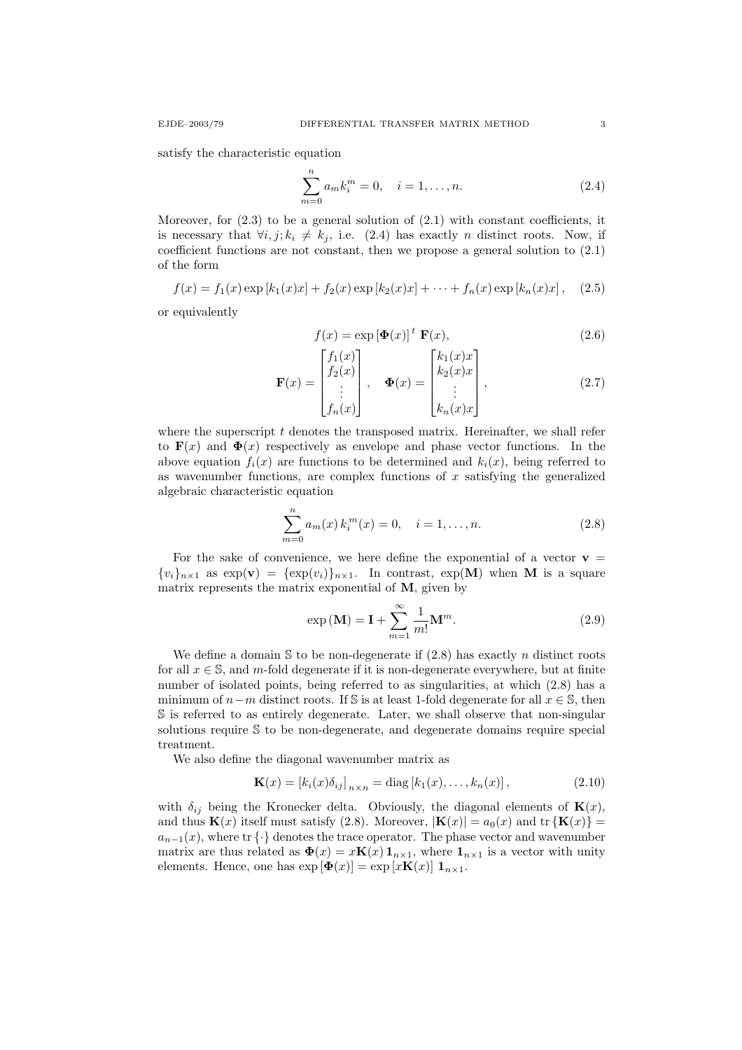satisfy the characteristic equation

$$
\sum_{m=0}^{n} a_m k_i^m = 0, \quad i = 1, \dots, n.
$$
 (2.4)

Moreover, for  $(2.3)$  to be a general solution of  $(2.1)$  with constant coefficients, it is necessary that  $\forall i, j; k_i \neq k_j$ , i.e. (2.4) has exactly *n* distinct roots. Now, if coefficient functions are not constant, then we propose a general solution to (2.1) of the form

$$
f(x) = f_1(x) \exp[k_1(x)x] + f_2(x) \exp[k_2(x)x] + \cdots + f_n(x) \exp[k_n(x)x], \quad (2.5)
$$

or equivalently

$$
f(x) = \exp[\Phi(x)]^t \mathbf{F}(x), \qquad (2.6)
$$

$$
\mathbf{F}(x) = \begin{bmatrix} f_1(x) \\ f_2(x) \\ \vdots \\ f_n(x) \end{bmatrix}, \quad \mathbf{\Phi}(x) = \begin{bmatrix} k_1(x)x \\ k_2(x)x \\ \vdots \\ k_n(x)x \end{bmatrix}, \tag{2.7}
$$

where the superscript  $t$  denotes the transposed matrix. Hereinafter, we shall refer to  $\mathbf{F}(x)$  and  $\mathbf{\Phi}(x)$  respectively as envelope and phase vector functions. In the above equation  $f_i(x)$  are functions to be determined and  $k_i(x)$ , being referred to as wavenumber functions, are complex functions of  $x$  satisfying the generalized algebraic characteristic equation

$$
\sum_{m=0}^{n} a_m(x) k_i^m(x) = 0, \quad i = 1, \dots, n.
$$
 (2.8)

For the sake of convenience, we here define the exponential of a vector  $v =$  ${v_i}_{n\times1}$  as  $\exp(\mathbf{v}) = {\exp(v_i)}_{n\times1}$ . In contrast,  $\exp(\mathbf{M})$  when M is a square matrix represents the matrix exponential of  $M$ , given by

$$
\exp\left(\mathbf{M}\right) = \mathbf{I} + \sum_{m=1}^{\infty} \frac{1}{m!} \mathbf{M}^m.
$$
 (2.9)

We define a domain  $S$  to be non-degenerate if  $(2.8)$  has exactly n distinct roots for all  $x \in \mathbb{S}$ , and m-fold degenerate if it is non-degenerate everywhere, but at finite number of isolated points, being referred to as singularities, at which (2.8) has a minimum of  $n-m$  distinct roots. If S is at least 1-fold degenerate for all  $x \in \mathbb{S}$ , then S is referred to as entirely degenerate. Later, we shall observe that non-singular solutions require S to be non-degenerate, and degenerate domains require special treatment.

We also define the diagonal wavenumber matrix as

$$
\mathbf{K}(x) = [k_i(x)\delta_{ij}]_{n \times n} = \text{diag}[k_1(x), \dots, k_n(x)],
$$
\n(2.10)

with  $\delta_{ij}$  being the Kronecker delta. Obviously, the diagonal elements of  $\mathbf{K}(x)$ , and thus  $\mathbf{K}(x)$  itself must satisfy (2.8). Moreover,  $|\mathbf{K}(x)| = a_0(x)$  and tr  $\{\mathbf{K}(x)\}$  =  $a_{n-1}(x)$ , where tr  $\{\cdot\}$  denotes the trace operator. The phase vector and wavenumber matrix are thus related as  $\Phi(x) = x\mathbf{K}(x) \mathbf{1}_{n\times 1}$ , where  $\mathbf{1}_{n\times 1}$  is a vector with unity elements. Hence, one has  $\exp[\Phi(x)] = \exp[xK(x)] \mathbf{1}_{n \times 1}$ .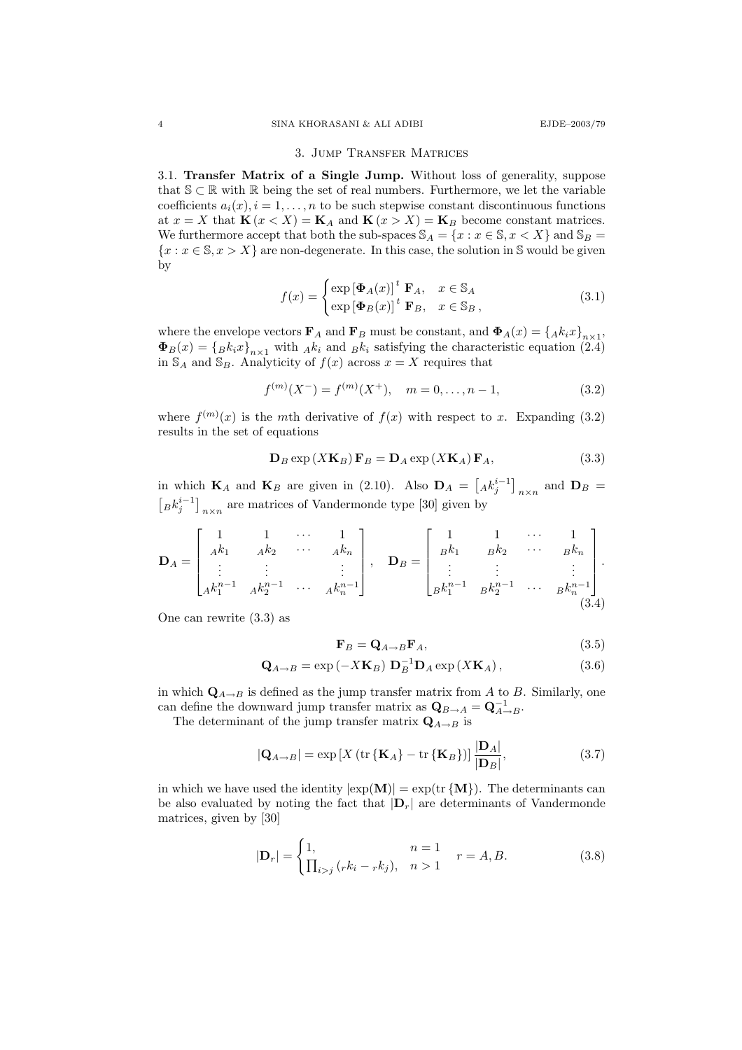#### 3. Jump Transfer Matrices

3.1. Transfer Matrix of a Single Jump. Without loss of generality, suppose that  $S \subset \mathbb{R}$  with  $\mathbb{R}$  being the set of real numbers. Furthermore, we let the variable coefficients  $a_i(x), i = 1, \ldots, n$  to be such stepwise constant discontinuous functions at  $x = X$  that  $\mathbf{K}(x < X) = \mathbf{K}_A$  and  $\mathbf{K}(x > X) = \mathbf{K}_B$  become constant matrices. We furthermore accept that both the sub-spaces  $\mathbb{S}_A = \{x : x \in \mathbb{S}, x \lt X\}$  and  $\mathbb{S}_B =$  ${x : x \in \mathbb{S}, x > X}$  are non-degenerate. In this case, the solution in S would be given by

$$
f(x) = \begin{cases} \exp\left[\Phi_A(x)\right]^t \mathbf{F}_A, & x \in \mathbb{S}_A\\ \exp\left[\Phi_B(x)\right]^t \mathbf{F}_B, & x \in \mathbb{S}_B \end{cases}
$$
 (3.1)

where the envelope vectors  $\mathbf{F}_A$  and  $\mathbf{F}_B$  must be constant, and  $\mathbf{\Phi}_A(x) = \{A_k x\}_{k \times 1}$ ,  $\Phi_B(x) = \{B_k x\}_{n\times1}$  with  $Ak_i$  and  $B_k$  satisfying the characteristic equation (2.4) in  $\mathbb{S}_A$  and  $\mathbb{S}_B$ . Analyticity of  $f(x)$  across  $x = X$  requires that

$$
f^{(m)}(X^-) = f^{(m)}(X^+), \quad m = 0, \dots, n-1,
$$
\n(3.2)

where  $f^{(m)}(x)$  is the mth derivative of  $f(x)$  with respect to x. Expanding (3.2) results in the set of equations

$$
\mathbf{D}_B \exp\left(X\mathbf{K}_B\right)\mathbf{F}_B = \mathbf{D}_A \exp\left(X\mathbf{K}_A\right)\mathbf{F}_A,\tag{3.3}
$$

in which  $\mathbf{K}_A$  and  $\mathbf{K}_B$  are given in (2.10). Also  $\mathbf{D}_A = \begin{bmatrix} A k_j^{i-1} \end{bmatrix}_{n \times n}$  and  $\mathbf{D}_B =$  $\left[ B k_j^{i-1} \right]_{n \times n}$  are matrices of Vandermonde type [30] given by

$$
\mathbf{D}_A = \begin{bmatrix} 1 & 1 & \cdots & 1 \\ Ak_1 & Ak_2 & \cdots & Ak_n \\ \vdots & \vdots & & \vdots \\ Ak_1^{n-1} & Ak_2^{n-1} & \cdots & Ak_n^{n-1} \end{bmatrix}, \quad \mathbf{D}_B = \begin{bmatrix} 1 & 1 & \cdots & 1 \\ Bk_1 & Bk_2 & \cdots & Bk_n \\ \vdots & \vdots & & \vdots \\ Bk_1^{n-1} & Bk_2^{n-1} & \cdots & Bk_n^{n-1} \end{bmatrix}.
$$
\n(3.4)

One can rewrite (3.3) as

$$
\mathbf{F}_B = \mathbf{Q}_{A \to B} \mathbf{F}_A,\tag{3.5}
$$

$$
\mathbf{Q}_{A \to B} = \exp\left(-X\mathbf{K}_B\right) \mathbf{D}_B^{-1} \mathbf{D}_A \exp\left(X\mathbf{K}_A\right),\tag{3.6}
$$

in which  $\mathbf{Q}_{A\rightarrow B}$  is defined as the jump transfer matrix from A to B. Similarly, one can define the downward jump transfer matrix as  $\mathbf{Q}_{B\to A} = \mathbf{Q}_{A\to B}^{-1}$ .

The determinant of the jump transfer matrix  $\mathbf{Q}_{A\rightarrow B}$  is

$$
|\mathbf{Q}_{A\rightarrow B}| = \exp\left[X\left(\text{tr}\left\{\mathbf{K}_A\right\} - \text{tr}\left\{\mathbf{K}_B\right\}\right)\right] \frac{|\mathbf{D}_A|}{|\mathbf{D}_B|},\tag{3.7}
$$

in which we have used the identity  $|\exp(\mathbf{M})| = \exp(\text{tr} \{ \mathbf{M} \})$ . The determinants can be also evaluated by noting the fact that  $|\mathbf{D}_r|$  are determinants of Vandermonde matrices, given by [30]

$$
|\mathbf{D}_r| = \begin{cases} 1, & n = 1 \\ \prod_{i > j} (r k_i - r k_j), & n > 1 \end{cases} \quad r = A, B. \tag{3.8}
$$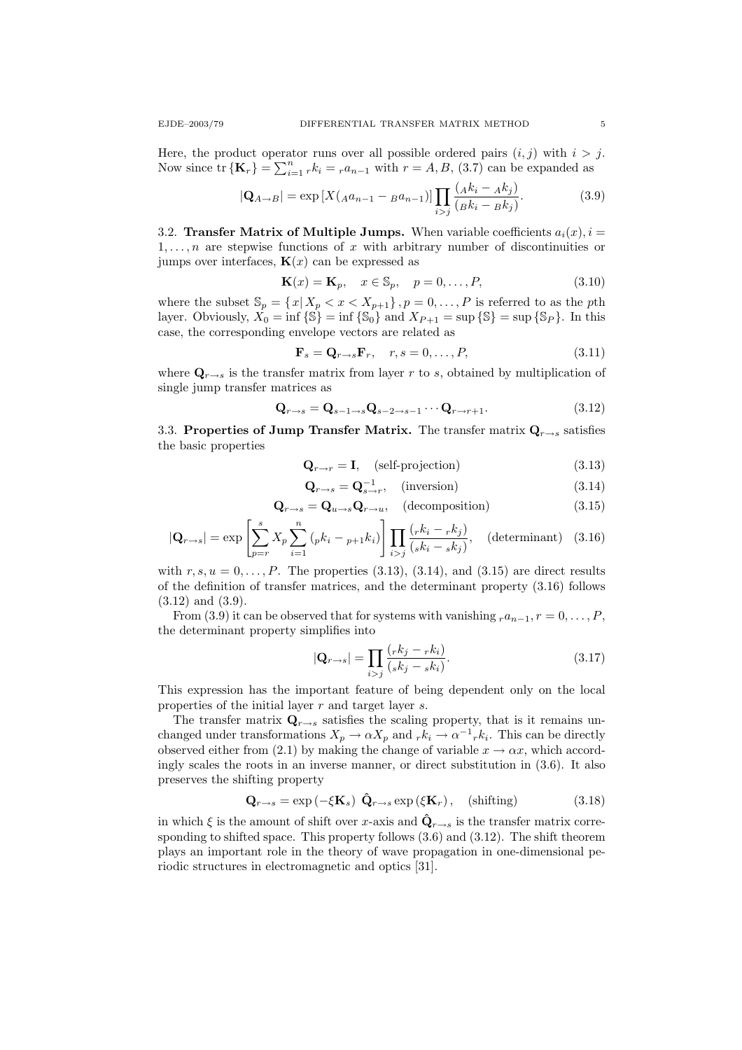Here, the product operator runs over all possible ordered pairs  $(i, j)$  with  $i > j$ . Now since  $\text{tr}\left\{\mathbf{K}_r\right\} = \sum_{i=1}^n rk_i = r a_{n-1}$  with  $r = A, B, (3.7)$  can be expanded as

$$
|\mathbf{Q}_{A \to B}| = \exp\left[X(a a_{n-1} - B a_{n-1})\right] \prod_{i > j} \frac{(A k_i - A k_j)}{(B k_i - B k_j)}.
$$
 (3.9)

3.2. Transfer Matrix of Multiple Jumps. When variable coefficients  $a_i(x)$ ,  $i =$  $1, \ldots, n$  are stepwise functions of x with arbitrary number of discontinuities or jumps over interfaces,  $\mathbf{K}(x)$  can be expressed as

$$
\mathbf{K}(x) = \mathbf{K}_p, \quad x \in \mathbb{S}_p, \quad p = 0, \dots, P,
$$
\n(3.10)

where the subset  $\mathbb{S}_p = \{x | X_p < x < X_{p+1}\}\$ ,  $p = 0, \ldots, P$  is referred to as the pth layer. Obviously,  $X_0 = \inf \{ \mathbb{S} \} = \inf \{ \mathbb{S}_0 \}$  and  $X_{P+1} = \sup \{ \mathbb{S} \} = \sup \{ \mathbb{S}_P \}$ . In this case, the corresponding envelope vectors are related as

$$
\mathbf{F}_s = \mathbf{Q}_{r \to s} \mathbf{F}_r, \quad r, s = 0, \dots, P,
$$
\n(3.11)

where  $\mathbf{Q}_{r\to s}$  is the transfer matrix from layer r to s, obtained by multiplication of single jump transfer matrices as

$$
\mathbf{Q}_{r \to s} = \mathbf{Q}_{s-1 \to s} \mathbf{Q}_{s-2 \to s-1} \cdots \mathbf{Q}_{r \to r+1}.
$$
 (3.12)

3.3. Properties of Jump Transfer Matrix. The transfer matrix  $Q_{r\rightarrow s}$  satisfies the basic properties

$$
\mathbf{Q}_{r \to r} = \mathbf{I}, \quad \text{(self-projection)} \tag{3.13}
$$

$$
\mathbf{Q}_{r \to s} = \mathbf{Q}_{s \to r}^{-1}, \quad \text{(inversion)} \tag{3.14}
$$

$$
\mathbf{Q}_{r \to s} = \mathbf{Q}_{u \to s} \mathbf{Q}_{r \to u}, \quad \text{(decomposition)} \tag{3.15}
$$

$$
|\mathbf{Q}_{r \to s}| = \exp\left[\sum_{p=r}^{s} X_p \sum_{i=1}^{n} \left(pk_i - p + 1k_i\right)\right] \prod_{i>j} \frac{\left(rk_i - rk_j\right)}{\left(sk_i - sk_j\right)}, \quad \text{(determinant)} \quad (3.16)
$$

with  $r, s, u = 0, \ldots, P$ . The properties (3.13), (3.14), and (3.15) are direct results of the definition of transfer matrices, and the determinant property (3.16) follows (3.12) and (3.9).

From (3.9) it can be observed that for systems with vanishing  $ra_{n-1}, r = 0, \ldots, P$ , the determinant property simplifies into

$$
|\mathbf{Q}_{r \to s}| = \prod_{i > j} \frac{(rk_j - rk_i)}{(sk_j - sk_i)}.
$$
\n(3.17)

This expression has the important feature of being dependent only on the local properties of the initial layer r and target layer s.

The transfer matrix  $\mathbf{Q}_{r\to s}$  satisfies the scaling property, that is it remains unchanged under transformations  $X_p \to \alpha X_p$  and  $_r k_i \to \alpha^{-1} r k_i$ . This can be directly observed either from (2.1) by making the change of variable  $x \to \alpha x$ , which accordingly scales the roots in an inverse manner, or direct substitution in (3.6). It also preserves the shifting property

$$
\mathbf{Q}_{r \to s} = \exp\left(-\xi \mathbf{K}_s\right) \hat{\mathbf{Q}}_{r \to s} \exp\left(\xi \mathbf{K}_r\right), \quad \text{(shifting)} \tag{3.18}
$$

in which  $\xi$  is the amount of shift over x-axis and  $\hat{Q}_{r \to s}$  is the transfer matrix corresponding to shifted space. This property follows (3.6) and (3.12). The shift theorem plays an important role in the theory of wave propagation in one-dimensional periodic structures in electromagnetic and optics [31].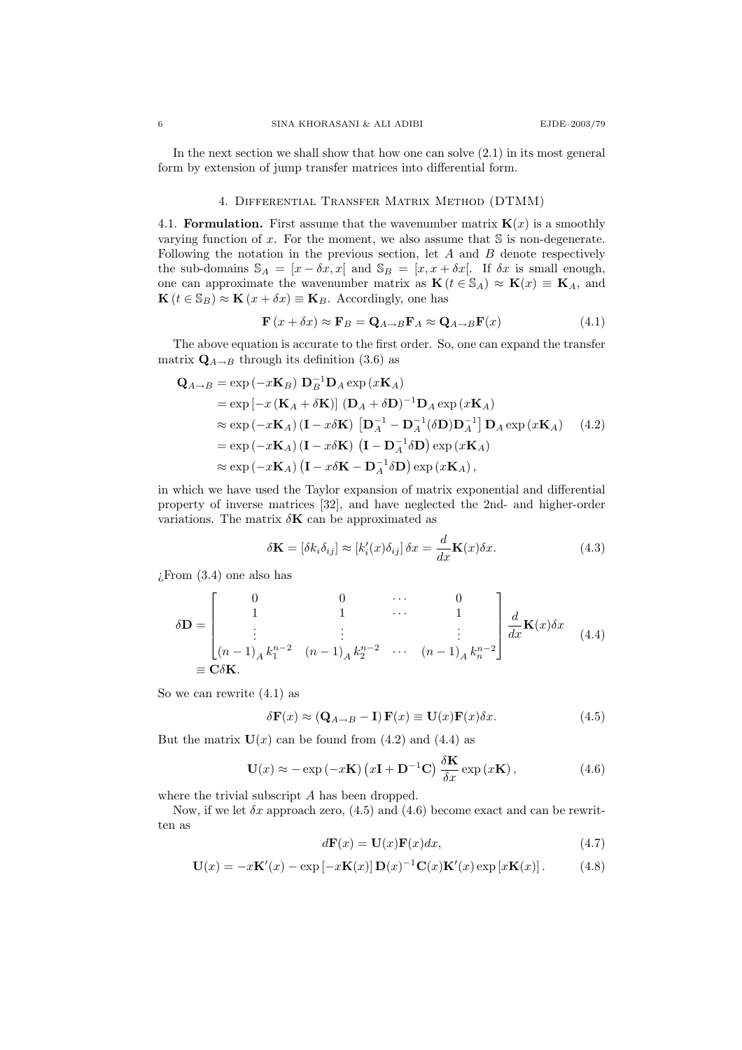In the next section we shall show that how one can solve  $(2.1)$  in its most general form by extension of jump transfer matrices into differential form.

### 4. Differential Transfer Matrix Method (DTMM)

4.1. Formulation. First assume that the wavenumber matrix  $K(x)$  is a smoothly varying function of  $x$ . For the moment, we also assume that  $S$  is non-degenerate. Following the notation in the previous section, let  $A$  and  $B$  denote respectively the sub-domains  $\mathbb{S}_A = [x - \delta x, x]$  and  $\mathbb{S}_B = [x, x + \delta x]$ . If  $\delta x$  is small enough, one can approximate the wavenumber matrix as  $\mathbf{K} (t \in \mathbb{S}_A) \approx \mathbf{K}(x) \equiv \mathbf{K}_A$ , and  $\mathbf{K}$  ( $t \in \mathbb{S}_B$ )  $\approx \mathbf{K}(x + \delta x) \equiv \mathbf{K}_B$ . Accordingly, one has

$$
\mathbf{F}\left(x+\delta x\right) \approx \mathbf{F}_B = \mathbf{Q}_{A \to B} \mathbf{F}_A \approx \mathbf{Q}_{A \to B} \mathbf{F}(x) \tag{4.1}
$$

The above equation is accurate to the first order. So, one can expand the transfer matrix  $\mathbf{Q}_{A\to B}$  through its definition (3.6) as

$$
\mathbf{Q}_{A\rightarrow B} = \exp(-x\mathbf{K}_{B}) \mathbf{D}_{B}^{-1} \mathbf{D}_{A} \exp(x\mathbf{K}_{A})
$$
  
\n
$$
= \exp[-x(\mathbf{K}_{A} + \delta \mathbf{K})] (\mathbf{D}_{A} + \delta \mathbf{D})^{-1} \mathbf{D}_{A} \exp(x\mathbf{K}_{A})
$$
  
\n
$$
\approx \exp(-x\mathbf{K}_{A}) (\mathbf{I} - x\delta \mathbf{K}) [\mathbf{D}_{A}^{-1} - \mathbf{D}_{A}^{-1}(\delta \mathbf{D}) \mathbf{D}_{A}^{-1}] \mathbf{D}_{A} \exp(x\mathbf{K}_{A}) \quad (4.2)
$$
  
\n
$$
= \exp(-x\mathbf{K}_{A}) (\mathbf{I} - x\delta \mathbf{K}) (\mathbf{I} - \mathbf{D}_{A}^{-1}\delta \mathbf{D}) \exp(x\mathbf{K}_{A})
$$
  
\n
$$
\approx \exp(-x\mathbf{K}_{A}) (\mathbf{I} - x\delta \mathbf{K} - \mathbf{D}_{A}^{-1}\delta \mathbf{D}) \exp(x\mathbf{K}_{A}),
$$

in which we have used the Taylor expansion of matrix exponential and differential property of inverse matrices [32], and have neglected the 2nd- and higher-order variations. The matrix  $\delta {\bf K}$  can be approximated as

$$
\delta \mathbf{K} = [\delta k_i \delta_{ij}] \approx [k'_i(x) \delta_{ij}] \, \delta x = \frac{d}{dx} \mathbf{K}(x) \delta x. \tag{4.3}
$$

 $\chi$ From  $(3.4)$  one also has

$$
\delta \mathbf{D} = \begin{bmatrix} 0 & 0 & \cdots & 0 \\ 1 & 1 & \cdots & 1 \\ \vdots & \vdots & & \vdots \\ (n-1)_A k_1^{n-2} & (n-1)_A k_2^{n-2} & \cdots & (n-1)_A k_n^{n-2} \end{bmatrix} \frac{d}{dx} \mathbf{K}(x) \delta x \quad (4.4)
$$

$$
\equiv \mathbf{C} \delta \mathbf{K}.
$$

So we can rewrite (4.1) as

$$
\delta \mathbf{F}(x) \approx (\mathbf{Q}_{A \to B} - \mathbf{I}) \mathbf{F}(x) \equiv \mathbf{U}(x) \mathbf{F}(x) \delta x.
$$
 (4.5)

But the matrix  $U(x)$  can be found from (4.2) and (4.4) as

$$
\mathbf{U}(x) \approx -\exp\left(-x\mathbf{K}\right)\left(x\mathbf{I} + \mathbf{D}^{-1}\mathbf{C}\right)\frac{\delta \mathbf{K}}{\delta x} \exp\left(x\mathbf{K}\right),\tag{4.6}
$$

where the trivial subscript A has been dropped.

Now, if we let  $\delta x$  approach zero, (4.5) and (4.6) become exact and can be rewritten as

$$
d\mathbf{F}(x) = \mathbf{U}(x)\mathbf{F}(x)dx,
$$
\n(4.7)

$$
\mathbf{U}(x) = -x\mathbf{K}'(x) - \exp\left[-x\mathbf{K}(x)\right]\mathbf{D}(x)^{-1}\mathbf{C}(x)\mathbf{K}'(x)\exp\left[x\mathbf{K}(x)\right].\tag{4.8}
$$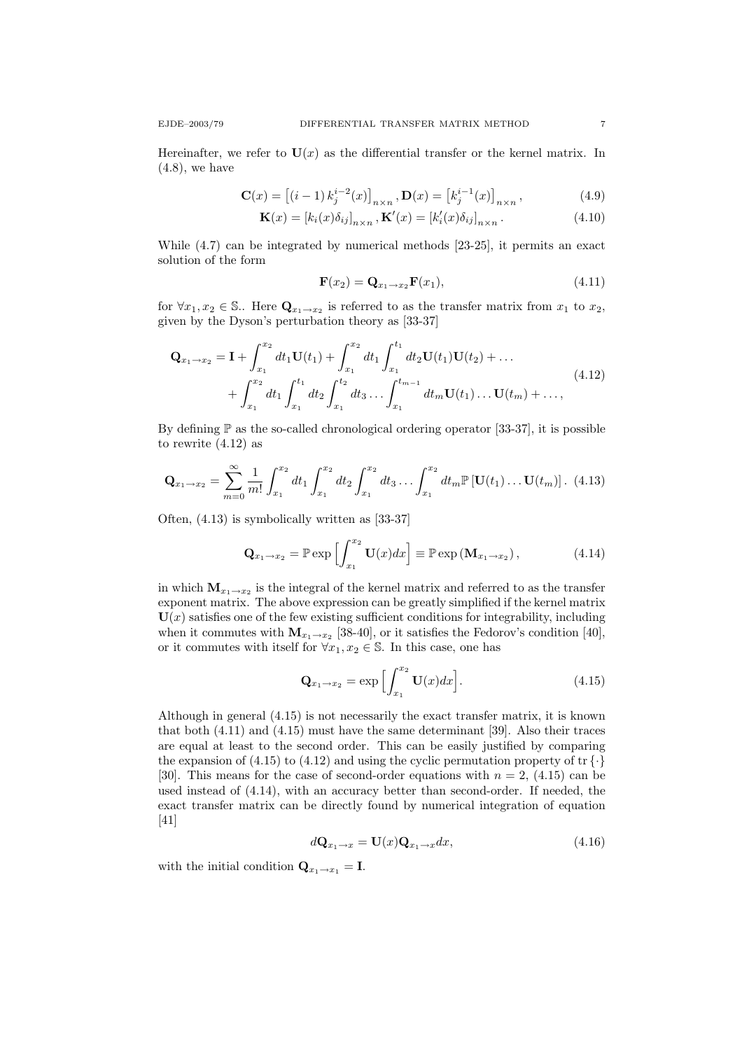Hereinafter, we refer to  $U(x)$  as the differential transfer or the kernel matrix. In  $(4.8)$ , we have

$$
\mathbf{C}(x) = \left[ (i-1) k_j^{i-2}(x) \right]_{n \times n}, \mathbf{D}(x) = \left[ k_j^{i-1}(x) \right]_{n \times n},
$$
(4.9)

$$
\mathbf{K}(x) = [k_i(x)\delta_{ij}]_{n \times n}, \mathbf{K}'(x) = [k'_i(x)\delta_{ij}]_{n \times n}.
$$
\n(4.10)

While (4.7) can be integrated by numerical methods [23-25], it permits an exact solution of the form

$$
\mathbf{F}(x_2) = \mathbf{Q}_{x_1 \to x_2} \mathbf{F}(x_1),\tag{4.11}
$$

for  $\forall x_1, x_2 \in \mathbb{S}$ . Here  $\mathbf{Q}_{x_1 \to x_2}$  is referred to as the transfer matrix from  $x_1$  to  $x_2$ , given by the Dyson's perturbation theory as [33-37]

$$
\mathbf{Q}_{x_1 \to x_2} = \mathbf{I} + \int_{x_1}^{x_2} dt_1 \mathbf{U}(t_1) + \int_{x_1}^{x_2} dt_1 \int_{x_1}^{t_1} dt_2 \mathbf{U}(t_1) \mathbf{U}(t_2) + \dots
$$
  
+ 
$$
\int_{x_1}^{x_2} dt_1 \int_{x_1}^{t_1} dt_2 \int_{x_1}^{t_2} dt_3 \dots \int_{x_1}^{t_{m-1}} dt_m \mathbf{U}(t_1) \dots \mathbf{U}(t_m) + \dots,
$$
 (4.12)

By defining  $\mathbb P$  as the so-called chronological ordering operator [33-37], it is possible to rewrite (4.12) as

$$
\mathbf{Q}_{x_1 \to x_2} = \sum_{m=0}^{\infty} \frac{1}{m!} \int_{x_1}^{x_2} dt_1 \int_{x_1}^{x_2} dt_2 \int_{x_1}^{x_2} dt_3 \dots \int_{x_1}^{x_2} dt_m \mathbb{P} [\mathbf{U}(t_1) \dots \mathbf{U}(t_m)] . (4.13)
$$

Often, (4.13) is symbolically written as [33-37]

$$
\mathbf{Q}_{x_1 \to x_2} = \mathbb{P} \exp \left[ \int_{x_1}^{x_2} \mathbf{U}(x) dx \right] \equiv \mathbb{P} \exp \left( \mathbf{M}_{x_1 \to x_2} \right), \tag{4.14}
$$

in which  $M_{x_1 \to x_2}$  is the integral of the kernel matrix and referred to as the transfer exponent matrix. The above expression can be greatly simplified if the kernel matrix  $U(x)$  satisfies one of the few existing sufficient conditions for integrability, including when it commutes with  $\mathbf{M}_{x_1 \to x_2}$  [38-40], or it satisfies the Fedorov's condition [40], or it commutes with itself for  $\forall x_1, x_2 \in \mathbb{S}$ . In this case, one has

$$
\mathbf{Q}_{x_1 \to x_2} = \exp\left[\int_{x_1}^{x_2} \mathbf{U}(x) dx\right]. \tag{4.15}
$$

Although in general (4.15) is not necessarily the exact transfer matrix, it is known that both (4.11) and (4.15) must have the same determinant [39]. Also their traces are equal at least to the second order. This can be easily justified by comparing the expansion of (4.15) to (4.12) and using the cyclic permutation property of  $\mathrm{tr} \{\cdot\}$ [30]. This means for the case of second-order equations with  $n = 2$ , (4.15) can be used instead of (4.14), with an accuracy better than second-order. If needed, the exact transfer matrix can be directly found by numerical integration of equation [41]

$$
d\mathbf{Q}_{x_1 \to x} = \mathbf{U}(x)\mathbf{Q}_{x_1 \to x} dx, \tag{4.16}
$$

with the initial condition  $\mathbf{Q}_{x_1 \to x_1} = \mathbf{I}$ .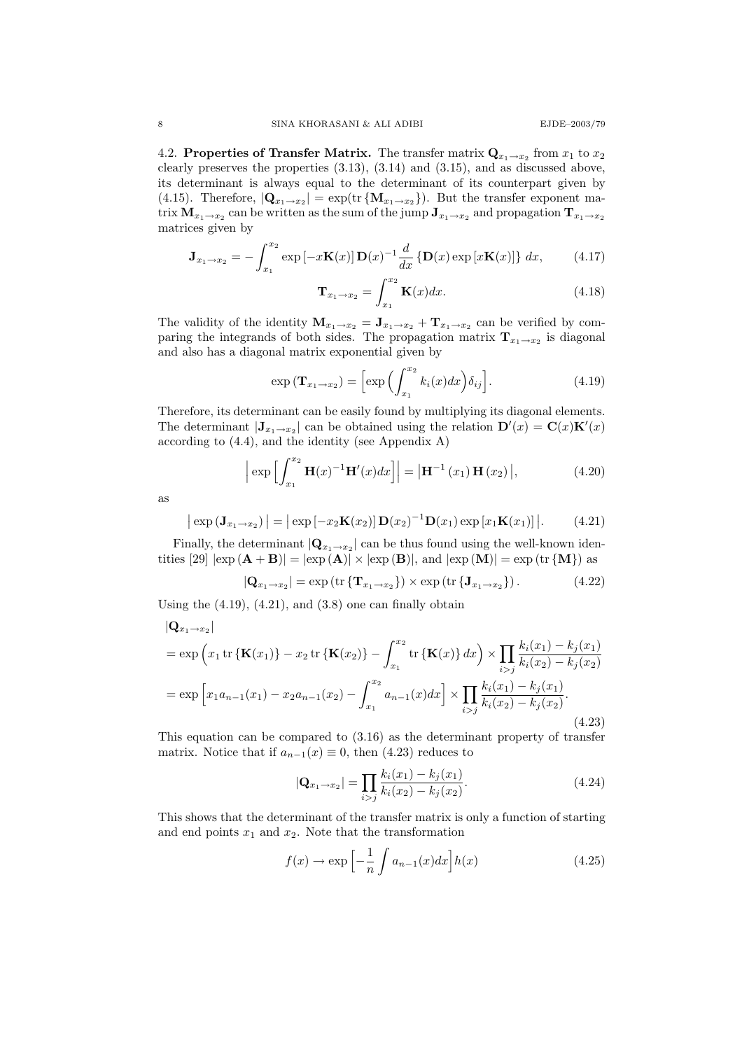4.2. Properties of Transfer Matrix. The transfer matrix  $\mathbf{Q}_{x_1 \to x_2}$  from  $x_1$  to  $x_2$ clearly preserves the properties (3.13), (3.14) and (3.15), and as discussed above, its determinant is always equal to the determinant of its counterpart given by (4.15). Therefore,  $|{\bf Q}_{x_1 \to x_2}| = \exp(\text{tr} \{ {\bf M}_{x_1 \to x_2} \})$ . But the transfer exponent matrix  $\mathbf{M}_{x_1 \to x_2}$  can be written as the sum of the jump  $\mathbf{J}_{x_1 \to x_2}$  and propagation  $\mathbf{T}_{x_1 \to x_2}$ matrices given by

$$
\mathbf{J}_{x_1 \to x_2} = -\int_{x_1}^{x_2} \exp\left[-x\mathbf{K}(x)\right] \mathbf{D}(x)^{-1} \frac{d}{dx} \left\{\mathbf{D}(x) \exp\left[x\mathbf{K}(x)\right]\right\} dx, \tag{4.17}
$$

$$
\mathbf{T}_{x_1 \to x_2} = \int_{x_1}^{x_2} \mathbf{K}(x) dx.
$$
 (4.18)

The validity of the identity  $\mathbf{M}_{x_1 \to x_2} = \mathbf{J}_{x_1 \to x_2} + \mathbf{T}_{x_1 \to x_2}$  can be verified by comparing the integrands of both sides. The propagation matrix  $\mathbf{T}_{x_1 \to x_2}$  is diagonal and also has a diagonal matrix exponential given by

$$
\exp\left(\mathbf{T}_{x_1 \to x_2}\right) = \left[\exp\left(\int_{x_1}^{x_2} k_i(x) dx\right) \delta_{ij}\right].\tag{4.19}
$$

Therefore, its determinant can be easily found by multiplying its diagonal elements. The determinant  $|\mathbf{J}_{x_1 \to x_2}|$  can be obtained using the relation  $\mathbf{D}'(x) = \mathbf{C}(x)\mathbf{K}'(x)$ according to (4.4), and the identity (see Appendix A)

$$
\left| \exp \left[ \int_{x_1}^{x_2} \mathbf{H}(x)^{-1} \mathbf{H}'(x) dx \right] \right| = \left| \mathbf{H}^{-1}(x_1) \mathbf{H}(x_2) \right|, \tag{4.20}
$$

as

$$
\left|\exp\left(\mathbf{J}_{x_1\to x_2}\right)\right| = \left|\exp\left[-x_2\mathbf{K}(x_2)\right]\mathbf{D}(x_2)^{-1}\mathbf{D}(x_1)\exp\left[x_1\mathbf{K}(x_1)\right]\right|.\tag{4.21}
$$

Finally, the determinant  $|Q_{x_1 \to x_2}|$  can be thus found using the well-known identities [29]  $|\exp(A + B)| = |\exp(A)| \times |\exp(B)|$ , and  $|\exp(M)| = \exp(\text{tr} \{M\})$  as

$$
|\mathbf{Q}_{x_1 \to x_2}| = \exp\left(\text{tr}\left\{\mathbf{T}_{x_1 \to x_2}\right\}\right) \times \exp\left(\text{tr}\left\{\mathbf{J}_{x_1 \to x_2}\right\}\right). \tag{4.22}
$$

Using the  $(4.19)$ ,  $(4.21)$ , and  $(3.8)$  one can finally obtain

$$
|\mathbf{Q}_{x_1 \to x_2}|
$$
  
=  $\exp\left(x_1 \operatorname{tr} \left\{ \mathbf{K}(x_1) \right\} - x_2 \operatorname{tr} \left\{ \mathbf{K}(x_2) \right\} - \int_{x_1}^{x_2} \operatorname{tr} \left\{ \mathbf{K}(x) \right\} dx \right) \times \prod_{i > j} \frac{k_i(x_1) - k_j(x_1)}{k_i(x_2) - k_j(x_2)}$   
=  $\exp\left[x_1 a_{n-1}(x_1) - x_2 a_{n-1}(x_2) - \int_{x_1}^{x_2} a_{n-1}(x) dx\right] \times \prod_{i > j} \frac{k_i(x_1) - k_j(x_1)}{k_i(x_2) - k_j(x_2)}$ . (4.23)

This equation can be compared to (3.16) as the determinant property of transfer matrix. Notice that if  $a_{n-1}(x) \equiv 0$ , then (4.23) reduces to

$$
|\mathbf{Q}_{x_1 \to x_2}| = \prod_{i > j} \frac{k_i(x_1) - k_j(x_1)}{k_i(x_2) - k_j(x_2)}.
$$
\n(4.24)

This shows that the determinant of the transfer matrix is only a function of starting and end points  $x_1$  and  $x_2$ . Note that the transformation

$$
f(x) \to \exp\left[-\frac{1}{n}\int a_{n-1}(x)dx\right]h(x) \tag{4.25}
$$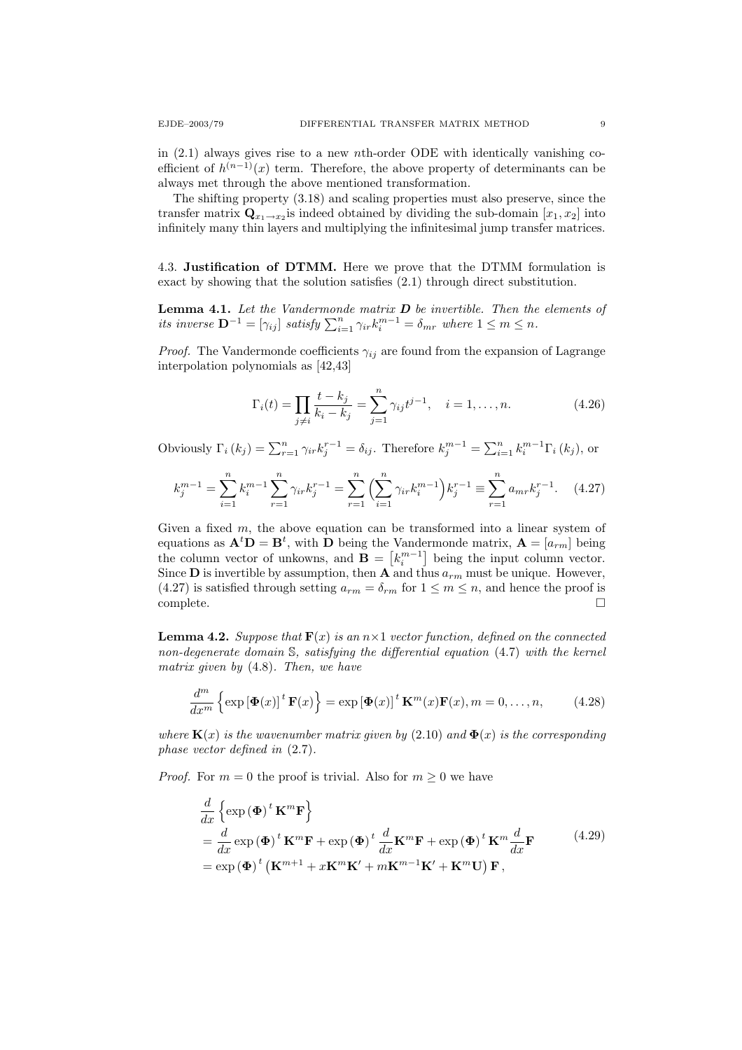in  $(2.1)$  always gives rise to a new nth-order ODE with identically vanishing coefficient of  $h^{(n-1)}(x)$  term. Therefore, the above property of determinants can be always met through the above mentioned transformation.

The shifting property (3.18) and scaling properties must also preserve, since the transfer matrix  $\mathbf{Q}_{x_1 \to x_2}$  is indeed obtained by dividing the sub-domain  $[x_1, x_2]$  into infinitely many thin layers and multiplying the infinitesimal jump transfer matrices.

4.3. Justification of DTMM. Here we prove that the DTMM formulation is exact by showing that the solution satisfies (2.1) through direct substitution.

**Lemma 4.1.** Let the Vandermonde matrix  $D$  be invertible. Then the elements of its inverse  $\mathbf{D}^{-1} = [\gamma_{ij}]$  satisfy  $\sum_{i=1}^{n} \gamma_{ir} k_i^{m-1} = \delta_{mr}$  where  $1 \leq m \leq n$ .

*Proof.* The Vandermonde coefficients  $\gamma_{ij}$  are found from the expansion of Lagrange interpolation polynomials as [42,43]

$$
\Gamma_i(t) = \prod_{j \neq i} \frac{t - k_j}{k_i - k_j} = \sum_{j=1}^n \gamma_{ij} t^{j-1}, \quad i = 1, \dots, n.
$$
 (4.26)

Obviously  $\Gamma_i(k_j) = \sum_{r=1}^n \gamma_{ir} k_j^{r-1} = \delta_{ij}$ . Therefore  $k_j^{m-1} = \sum_{i=1}^n k_i^{m-1} \Gamma_i(k_j)$ , or

$$
k_j^{m-1} = \sum_{i=1}^n k_i^{m-1} \sum_{r=1}^n \gamma_{ir} k_j^{r-1} = \sum_{r=1}^n \left( \sum_{i=1}^n \gamma_{ir} k_i^{m-1} \right) k_j^{r-1} \equiv \sum_{r=1}^n a_{mr} k_j^{r-1}.
$$
 (4.27)

Given a fixed m, the above equation can be transformed into a linear system of equations as  $\mathbf{A}^t \mathbf{D} = \mathbf{B}^t$ , with  $\mathbf{D}$  being the Vandermonde matrix,  $\mathbf{A} = [a_{rm}]$  being the column vector of unkowns, and  $\mathbf{B} = \begin{bmatrix} k_i^{m-1} \end{bmatrix}$  being the input column vector. Since **D** is invertible by assumption, then **A** and thus  $a_{rm}$  must be unique. However, (4.27) is satisfied through setting  $a_{rm} = \delta_{rm}$  for  $1 \leq m \leq n$ , and hence the proof is complete.

**Lemma 4.2.** Suppose that  $\mathbf{F}(x)$  is an  $n \times 1$  vector function, defined on the connected non-degenerate domain S, satisfying the differential equation (4.7) with the kernel matrix given by (4.8). Then, we have

$$
\frac{d^m}{dx^m} \left\{ \exp \left[ \mathbf{\Phi}(x) \right]^t \mathbf{F}(x) \right\} = \exp \left[ \mathbf{\Phi}(x) \right]^t \mathbf{K}^m(x) \mathbf{F}(x), m = 0, \dots, n,
$$
 (4.28)

where  $\mathbf{K}(x)$  is the wavenumber matrix given by (2.10) and  $\mathbf{\Phi}(x)$  is the corresponding phase vector defined in (2.7).

*Proof.* For  $m = 0$  the proof is trivial. Also for  $m \geq 0$  we have

$$
\frac{d}{dx}\left\{\exp\left(\mathbf{\Phi}\right)^{t}\mathbf{K}^{m}\mathbf{F}\right\}
$$
\n
$$
=\frac{d}{dx}\exp\left(\mathbf{\Phi}\right)^{t}\mathbf{K}^{m}\mathbf{F}+\exp\left(\mathbf{\Phi}\right)^{t}\frac{d}{dx}\mathbf{K}^{m}\mathbf{F}+\exp\left(\mathbf{\Phi}\right)^{t}\mathbf{K}^{m}\frac{d}{dx}\mathbf{F}
$$
\n
$$
=\exp\left(\mathbf{\Phi}\right)^{t}\left(\mathbf{K}^{m+1}+x\mathbf{K}^{m}\mathbf{K}'+m\mathbf{K}^{m-1}\mathbf{K}'+\mathbf{K}^{m}\mathbf{U}\right)\mathbf{F},
$$
\n(4.29)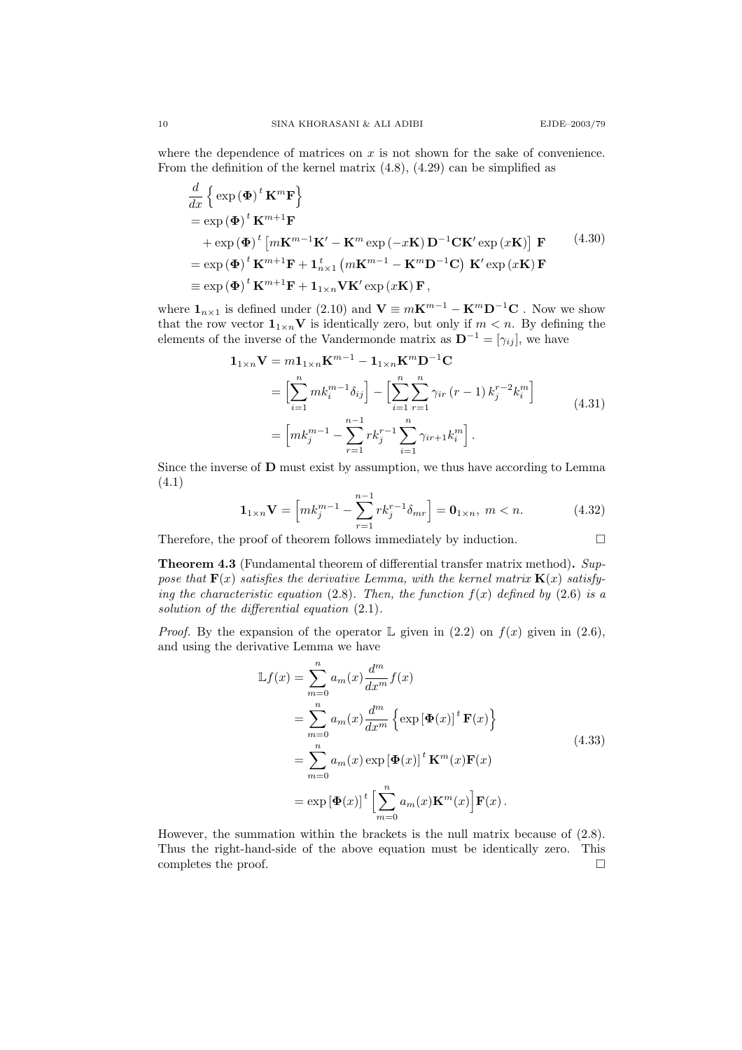where the dependence of matrices on  $x$  is not shown for the sake of convenience. From the definition of the kernel matrix (4.8), (4.29) can be simplified as

$$
\frac{d}{dx} \left\{ \exp(\Phi)^t \mathbf{K}^m \mathbf{F} \right\} \n= \exp(\Phi)^t \mathbf{K}^{m+1} \mathbf{F} \n+ \exp(\Phi)^t \left[ m \mathbf{K}^{m-1} \mathbf{K}' - \mathbf{K}^m \exp(-x\mathbf{K}) \mathbf{D}^{-1} \mathbf{C} \mathbf{K}' \exp(x\mathbf{K}) \right] \mathbf{F} \n= \exp(\Phi)^t \mathbf{K}^{m+1} \mathbf{F} + \mathbf{1}_{n \times 1}^t \left( m \mathbf{K}^{m-1} - \mathbf{K}^m \mathbf{D}^{-1} \mathbf{C} \right) \mathbf{K}' \exp(x\mathbf{K}) \mathbf{F} \n\equiv \exp(\Phi)^t \mathbf{K}^{m+1} \mathbf{F} + \mathbf{1}_{1 \times n} \mathbf{V} \mathbf{K}' \exp(x\mathbf{K}) \mathbf{F},
$$
\n(4.30)

where  $\mathbf{1}_{n\times 1}$  is defined under (2.10) and  $\mathbf{V} \equiv m\mathbf{K}^{m-1} - \mathbf{K}^m\mathbf{D}^{-1}\mathbf{C}$ . Now we show that the row vector  $\mathbf{1}_{1\times n}$ V is identically zero, but only if  $m < n$ . By defining the elements of the inverse of the Vandermonde matrix as  $\mathbf{D}^{-1} = [\gamma_{ij}],$  we have

$$
\mathbf{1}_{1 \times n} \mathbf{V} = m \mathbf{1}_{1 \times n} \mathbf{K}^{m-1} - \mathbf{1}_{1 \times n} \mathbf{K}^{m} \mathbf{D}^{-1} \mathbf{C}
$$
\n
$$
= \left[ \sum_{i=1}^{n} m k_{i}^{m-1} \delta_{ij} \right] - \left[ \sum_{i=1}^{n} \sum_{r=1}^{n} \gamma_{ir} (r-1) k_{j}^{r-2} k_{i}^{m} \right]
$$
\n
$$
= \left[ m k_{j}^{m-1} - \sum_{r=1}^{n-1} r k_{j}^{r-1} \sum_{i=1}^{n} \gamma_{ir+1} k_{i}^{m} \right].
$$
\n(4.31)

Since the inverse of D must exist by assumption, we thus have according to Lemma (4.1)

$$
\mathbf{1}_{1\times n}\mathbf{V} = \left[mk_j^{m-1} - \sum_{r=1}^{n-1} rk_j^{r-1}\delta_{mr}\right] = \mathbf{0}_{1\times n}, \ m < n. \tag{4.32}
$$

Therefore, the proof of theorem follows immediately by induction.  $\Box$ 

Theorem 4.3 (Fundamental theorem of differential transfer matrix method). Suppose that  $\mathbf{F}(x)$  satisfies the derivative Lemma, with the kernel matrix  $\mathbf{K}(x)$  satisfying the characteristic equation (2.8). Then, the function  $f(x)$  defined by (2.6) is a solution of the differential equation  $(2.1)$ .

*Proof.* By the expansion of the operator  $\mathbb{L}$  given in (2.2) on  $f(x)$  given in (2.6), and using the derivative Lemma we have

$$
\mathbb{L}f(x) = \sum_{m=0}^{n} a_m(x) \frac{d^m}{dx^m} f(x)
$$
  
\n
$$
= \sum_{m=0}^{n} a_m(x) \frac{d^m}{dx^m} \left\{ \exp \left[ \mathbf{\Phi}(x) \right]^t \mathbf{F}(x) \right\}
$$
  
\n
$$
= \sum_{m=0}^{n} a_m(x) \exp \left[ \mathbf{\Phi}(x) \right]^t \mathbf{K}^m(x) \mathbf{F}(x)
$$
  
\n
$$
= \exp \left[ \mathbf{\Phi}(x) \right]^t \left[ \sum_{m=0}^{n} a_m(x) \mathbf{K}^m(x) \right] \mathbf{F}(x).
$$
\n(4.33)

However, the summation within the brackets is the null matrix because of (2.8). Thus the right-hand-side of the above equation must be identically zero. This completes the proof.  $\hfill \square$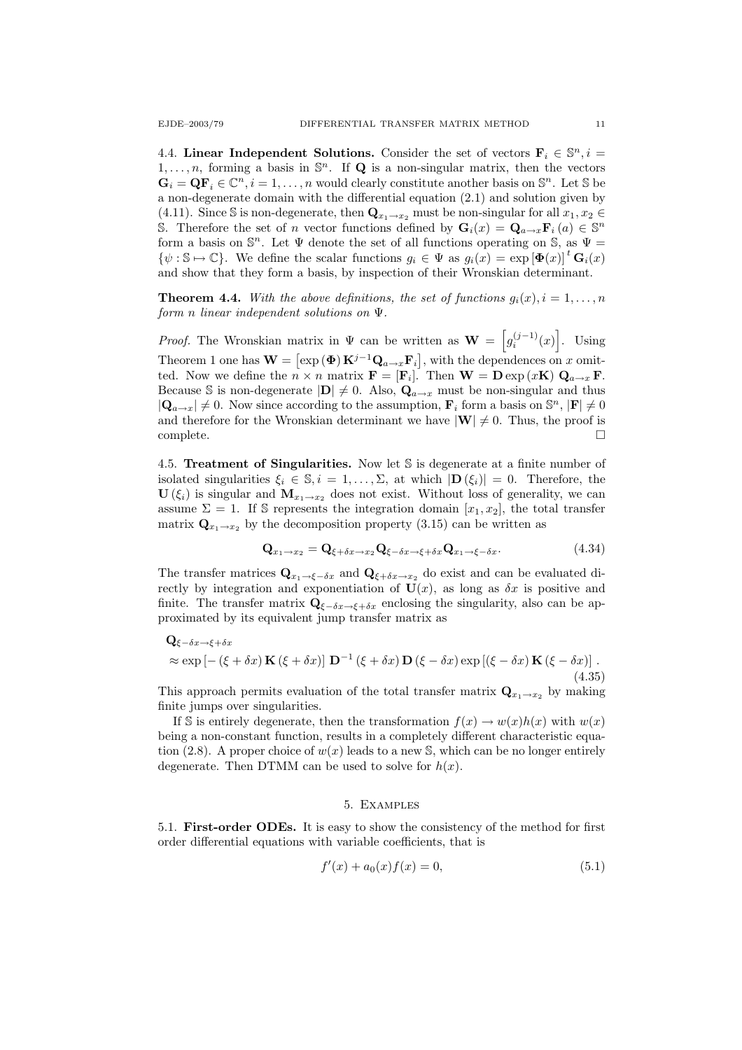4.4. Linear Independent Solutions. Consider the set of vectors  $\mathbf{F}_i \in \mathbb{S}^n, i =$  $1, \ldots, n$ , forming a basis in  $\mathbb{S}^n$ . If **Q** is a non-singular matrix, then the vectors  $\mathbf{G}_i = \mathbf{Q} \mathbf{F}_i \in \mathbb{C}^n, i = 1, \dots, n$  would clearly constitute another basis on  $\mathbb{S}^n$ . Let  $\mathbb{S}$  be a non-degenerate domain with the differential equation (2.1) and solution given by (4.11). Since S is non-degenerate, then  $\mathbf{Q}_{x_1\to x_2}$  must be non-singular for all  $x_1, x_2 \in$ S. Therefore the set of n vector functions defined by  $\mathbf{G}_i(x) = \mathbf{Q}_{a \to x} \mathbf{F}_i(a) \in \mathbb{S}^n$ form a basis on  $\mathbb{S}^n$ . Let  $\Psi$  denote the set of all functions operating on  $\mathbb{S}$ , as  $\Psi =$  $\{\psi : \mathbb{S} \mapsto \mathbb{C}\}\$ . We define the scalar functions  $g_i \in \Psi$  as  $g_i(x) = \exp\left[\Phi(x)\right]^t \mathbf{G}_i(x)$ and show that they form a basis, by inspection of their Wronskian determinant.

**Theorem 4.4.** With the above definitions, the set of functions  $g_i(x)$ ,  $i = 1, \ldots, n$ form n linear independent solutions on Ψ.

*Proof.* The Wronskian matrix in  $\Psi$  can be written as  $\mathbf{W} = \begin{bmatrix} g_i^{(j-1)}(x) \end{bmatrix}$ . Using Theorem 1 one has  $\mathbf{W} = [\exp(\mathbf{\Phi}) \mathbf{K}^{j-1} \mathbf{Q}_{a \to x} \mathbf{F}_i]$ , with the dependences on x omitted. Now we define the  $n \times n$  matrix  $\mathbf{F} = [\mathbf{F}_i]$ . Then  $\mathbf{W} = \mathbf{D} \exp(x \mathbf{K}) \mathbf{Q}_{a \to x} \mathbf{F}$ . Because S is non-degenerate  $|\mathbf{D}| \neq 0$ . Also,  $\mathbf{Q}_{a\to x}$  must be non-singular and thus  $|\mathbf{Q}_{a\to x}| \neq 0$ . Now since according to the assumption,  $\mathbf{F}_i$  form a basis on  $\mathbb{S}^n$ ,  $|\mathbf{F}| \neq 0$ and therefore for the Wronskian determinant we have  $|\mathbf{W}| \neq 0$ . Thus, the proof is  $\Box$ complete.  $\Box$ 

4.5. Treatment of Singularities. Now let S is degenerate at a finite number of isolated singularities  $\xi_i \in \mathbb{S}, i = 1, \ldots, \Sigma$ , at which  $|\mathbf{D}(\xi_i)| = 0$ . Therefore, the  $\mathbf{U}(\xi_i)$  is singular and  $\mathbf{M}_{x_1 \to x_2}$  does not exist. Without loss of generality, we can assume  $\Sigma = 1$ . If S represents the integration domain  $[x_1, x_2]$ , the total transfer matrix  $\mathbf{Q}_{x_1 \to x_2}$  by the decomposition property (3.15) can be written as

$$
\mathbf{Q}_{x_1 \to x_2} = \mathbf{Q}_{\xi + \delta x \to x_2} \mathbf{Q}_{\xi - \delta x \to \xi + \delta x} \mathbf{Q}_{x_1 \to \xi - \delta x}.
$$
(4.34)

The transfer matrices  $\mathbf{Q}_{x_1 \to \xi - \delta x}$  and  $\mathbf{Q}_{\xi + \delta x \to x_2}$  do exist and can be evaluated directly by integration and exponentiation of  $U(x)$ , as long as  $\delta x$  is positive and finite. The transfer matrix  $\mathbf{Q}_{\xi-\delta x\to \xi+\delta x}$  enclosing the singularity, also can be approximated by its equivalent jump transfer matrix as

$$
\mathbf{Q}_{\xi-\delta x\to\xi+\delta x} \n\approx \exp\left[-\left(\xi+\delta x\right)\mathbf{K}\left(\xi+\delta x\right)\right]\mathbf{D}^{-1}\left(\xi+\delta x\right)\mathbf{D}\left(\xi-\delta x\right)\exp\left[\left(\xi-\delta x\right)\mathbf{K}\left(\xi-\delta x\right)\right].
$$
\n(4.35)

This approach permits evaluation of the total transfer matrix  $\mathbf{Q}_{x_1 \to x_2}$  by making finite jumps over singularities.

If S is entirely degenerate, then the transformation  $f(x) \to w(x)h(x)$  with  $w(x)$ being a non-constant function, results in a completely different characteristic equation (2.8). A proper choice of  $w(x)$  leads to a new S, which can be no longer entirely degenerate. Then DTMM can be used to solve for  $h(x)$ .

### 5. Examples

5.1. First-order ODEs. It is easy to show the consistency of the method for first order differential equations with variable coefficients, that is

$$
f'(x) + a_0(x)f(x) = 0,
$$
\n(5.1)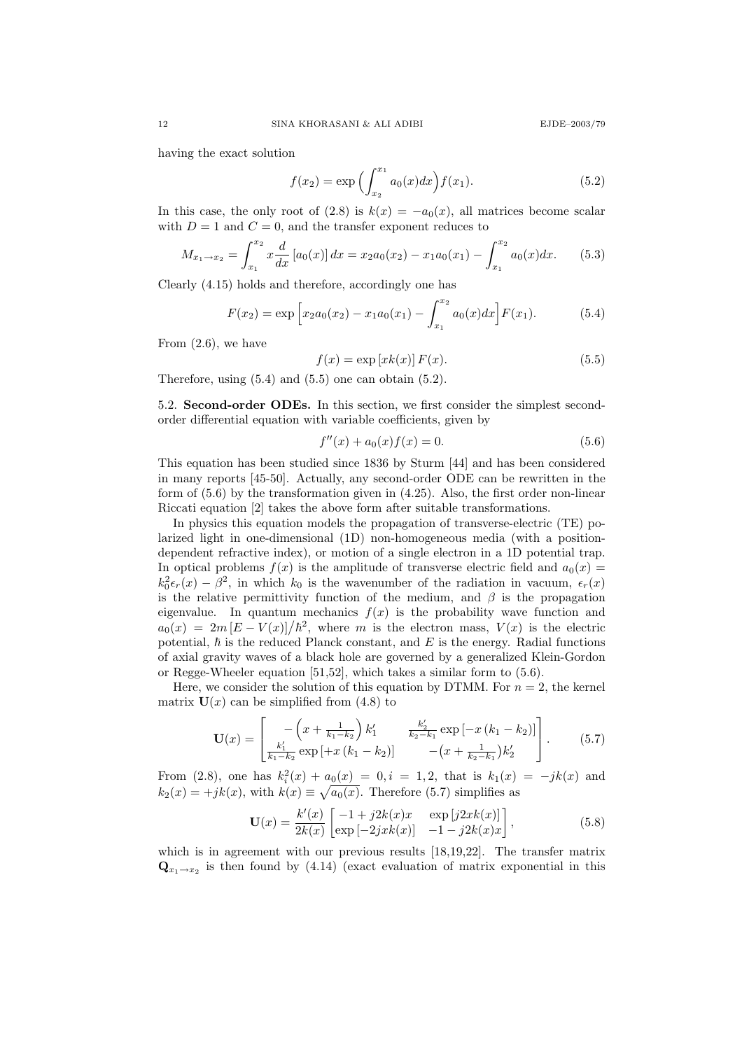having the exact solution

$$
f(x_2) = \exp\left(\int_{x_2}^{x_1} a_0(x) dx\right) f(x_1).
$$
 (5.2)

In this case, the only root of (2.8) is  $k(x) = -a_0(x)$ , all matrices become scalar with  $D = 1$  and  $C = 0$ , and the transfer exponent reduces to

$$
M_{x_1 \to x_2} = \int_{x_1}^{x_2} x \frac{d}{dx} [a_0(x)] dx = x_2 a_0(x_2) - x_1 a_0(x_1) - \int_{x_1}^{x_2} a_0(x) dx.
$$
 (5.3)

Clearly (4.15) holds and therefore, accordingly one has

$$
F(x_2) = \exp\left[x_2a_0(x_2) - x_1a_0(x_1) - \int_{x_1}^{x_2} a_0(x)dx\right]F(x_1).
$$
 (5.4)

From  $(2.6)$ , we have

$$
f(x) = \exp\left[xk(x)\right]F(x). \tag{5.5}
$$

Therefore, using  $(5.4)$  and  $(5.5)$  one can obtain  $(5.2)$ .

5.2. Second-order ODEs. In this section, we first consider the simplest secondorder differential equation with variable coefficients, given by

$$
f''(x) + a_0(x)f(x) = 0.
$$
\n(5.6)

This equation has been studied since 1836 by Sturm [44] and has been considered in many reports [45-50]. Actually, any second-order ODE can be rewritten in the form of (5.6) by the transformation given in (4.25). Also, the first order non-linear Riccati equation [2] takes the above form after suitable transformations.

In physics this equation models the propagation of transverse-electric (TE) polarized light in one-dimensional (1D) non-homogeneous media (with a positiondependent refractive index), or motion of a single electron in a 1D potential trap. In optical problems  $f(x)$  is the amplitude of transverse electric field and  $a_0(x) =$  $k_0^2 \epsilon_r(x) - \beta^2$ , in which  $k_0$  is the wavenumber of the radiation in vacuum,  $\epsilon_r(x)$ is the relative permittivity function of the medium, and  $\beta$  is the propagation eigenvalue. In quantum mechanics  $f(x)$  is the probability wave function and  $a_0(x) = 2m[E-V(x)]/\hbar^2$ , where m is the electron mass,  $V(x)$  is the electric potential,  $\hbar$  is the reduced Planck constant, and E is the energy. Radial functions of axial gravity waves of a black hole are governed by a generalized Klein-Gordon or Regge-Wheeler equation [51,52], which takes a similar form to (5.6).

Here, we consider the solution of this equation by DTMM. For  $n = 2$ , the kernel matrix  $U(x)$  can be simplified from (4.8) to

$$
\mathbf{U}(x) = \begin{bmatrix} -\left(x + \frac{1}{k_1 - k_2}\right)k_1' & \frac{k_2'}{k_2 - k_1} \exp\left[-x\left(k_1 - k_2\right)\right] \\ \frac{k_1'}{k_1 - k_2} \exp\left[+x\left(k_1 - k_2\right)\right] & -\left(x + \frac{1}{k_2 - k_1}\right)k_2' \end{bmatrix} . \tag{5.7}
$$

From (2.8), one has  $k_i^2(x) + a_0(x) = 0, i = 1, 2$ , that is  $k_1(x) = -jk(x)$  and  $k_2(x) = +jk(x)$ , with  $k(x) \equiv \sqrt{a_0(x)}$ . Therefore (5.7) simplifies as

$$
\mathbf{U}(x) = \frac{k'(x)}{2k(x)} \begin{bmatrix} -1 + j2k(x)x & \exp[j2xk(x)] \\ \exp[-2jxk(x)] & -1 - j2k(x)x \end{bmatrix},
$$
(5.8)

which is in agreement with our previous results [18,19,22]. The transfer matrix  $\mathbf{Q}_{x_1 \to x_2}$  is then found by (4.14) (exact evaluation of matrix exponential in this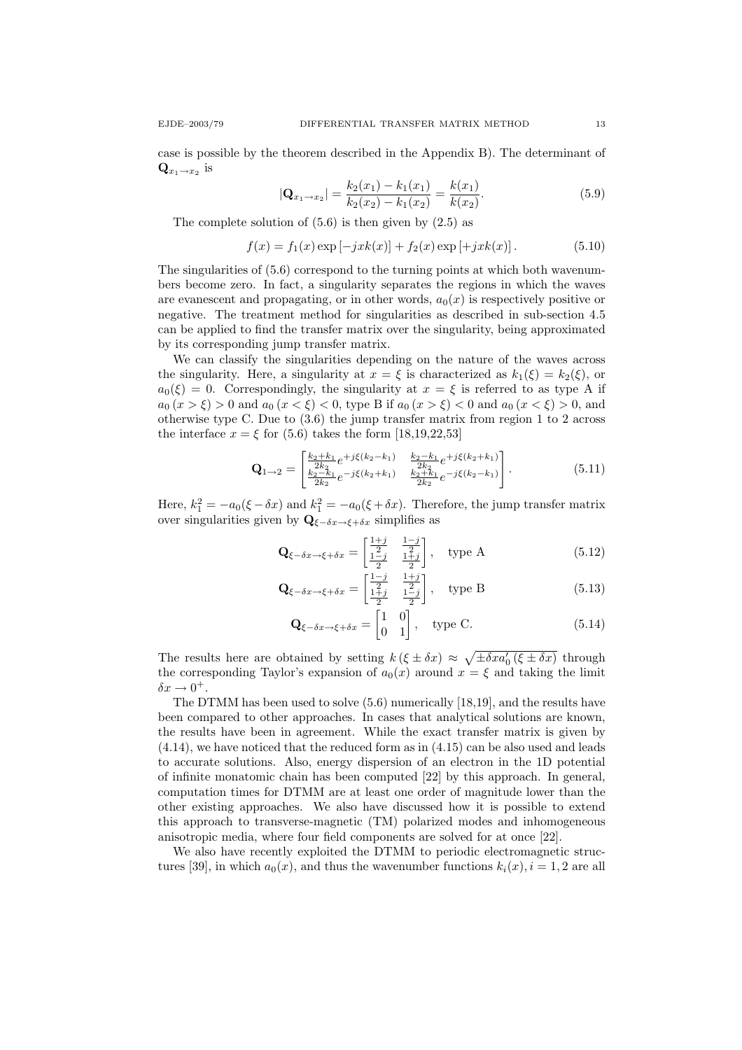case is possible by the theorem described in the Appendix B). The determinant of  $\mathbf{Q}_{x_1 \to x_2}$  is

$$
|\mathbf{Q}_{x_1 \to x_2}| = \frac{k_2(x_1) - k_1(x_1)}{k_2(x_2) - k_1(x_2)} = \frac{k(x_1)}{k(x_2)}.
$$
\n(5.9)

The complete solution of  $(5.6)$  is then given by  $(2.5)$  as

$$
f(x) = f_1(x) \exp[-jxk(x)] + f_2(x) \exp[+jxk(x)].
$$
 (5.10)

The singularities of (5.6) correspond to the turning points at which both wavenumbers become zero. In fact, a singularity separates the regions in which the waves are evanescent and propagating, or in other words,  $a_0(x)$  is respectively positive or negative. The treatment method for singularities as described in sub-section 4.5 can be applied to find the transfer matrix over the singularity, being approximated by its corresponding jump transfer matrix.

We can classify the singularities depending on the nature of the waves across the singularity. Here, a singularity at  $x = \xi$  is characterized as  $k_1(\xi) = k_2(\xi)$ , or  $a_0(\xi) = 0$ . Correspondingly, the singularity at  $x = \xi$  is referred to as type A if  $a_0 (x > \xi) > 0$  and  $a_0 (x < \xi) < 0$ , type B if  $a_0 (x > \xi) < 0$  and  $a_0 (x < \xi) > 0$ , and otherwise type C. Due to (3.6) the jump transfer matrix from region 1 to 2 across the interface  $x = \xi$  for (5.6) takes the form [18,19,22,53]

$$
\mathbf{Q}_{1\rightarrow 2} = \begin{bmatrix} \frac{k_2 + k_1}{2k_2} e^{+j\xi(k_2 - k_1)} & \frac{k_2 - k_1}{2k_2} e^{+j\xi(k_2 + k_1)} \\ \frac{k_2 - k_1}{2k_2} e^{-j\xi(k_2 + k_1)} & \frac{k_2 + k_1}{2k_2} e^{-j\xi(k_2 - k_1)} \end{bmatrix} . \tag{5.11}
$$

Here,  $k_1^2 = -a_0(\xi - \delta x)$  and  $k_1^2 = -a_0(\xi + \delta x)$ . Therefore, the jump transfer matrix over singularities given by  $\mathbf{Q}_{\xi-\delta x\to \xi+\delta x}$  simplifies as

$$
\mathbf{Q}_{\xi-\delta x \to \xi+\delta x} = \begin{bmatrix} \frac{1+j}{2} & \frac{1-j}{2} \\ \frac{1-j}{2} & \frac{1+j}{2} \end{bmatrix}, \quad \text{type A} \tag{5.12}
$$

$$
\mathbf{Q}_{\xi-\delta x \to \xi+\delta x} = \begin{bmatrix} \frac{1-j}{2} & \frac{1+j}{2} \\ \frac{1+j}{2} & \frac{1-j}{2} \end{bmatrix}, \quad \text{type B} \tag{5.13}
$$

$$
\mathbf{Q}_{\xi-\delta x \to \xi+\delta x} = \begin{bmatrix} 1 & 0 \\ 0 & 1 \end{bmatrix}, \quad \text{type C.} \tag{5.14}
$$

The results here are obtained by setting  $k(\xi \pm \delta x) \approx \sqrt{\pm \delta x a_0'(\xi \pm \delta x)}$  through the corresponding Taylor's expansion of  $a_0(x)$  around  $x = \xi$  and taking the limit  $\delta x \to 0^+.$ 

The DTMM has been used to solve (5.6) numerically [18,19], and the results have been compared to other approaches. In cases that analytical solutions are known, the results have been in agreement. While the exact transfer matrix is given by (4.14), we have noticed that the reduced form as in (4.15) can be also used and leads to accurate solutions. Also, energy dispersion of an electron in the 1D potential of infinite monatomic chain has been computed [22] by this approach. In general, computation times for DTMM are at least one order of magnitude lower than the other existing approaches. We also have discussed how it is possible to extend this approach to transverse-magnetic (TM) polarized modes and inhomogeneous anisotropic media, where four field components are solved for at once [22].

We also have recently exploited the DTMM to periodic electromagnetic structures [39], in which  $a_0(x)$ , and thus the wavenumber functions  $k_i(x)$ ,  $i = 1, 2$  are all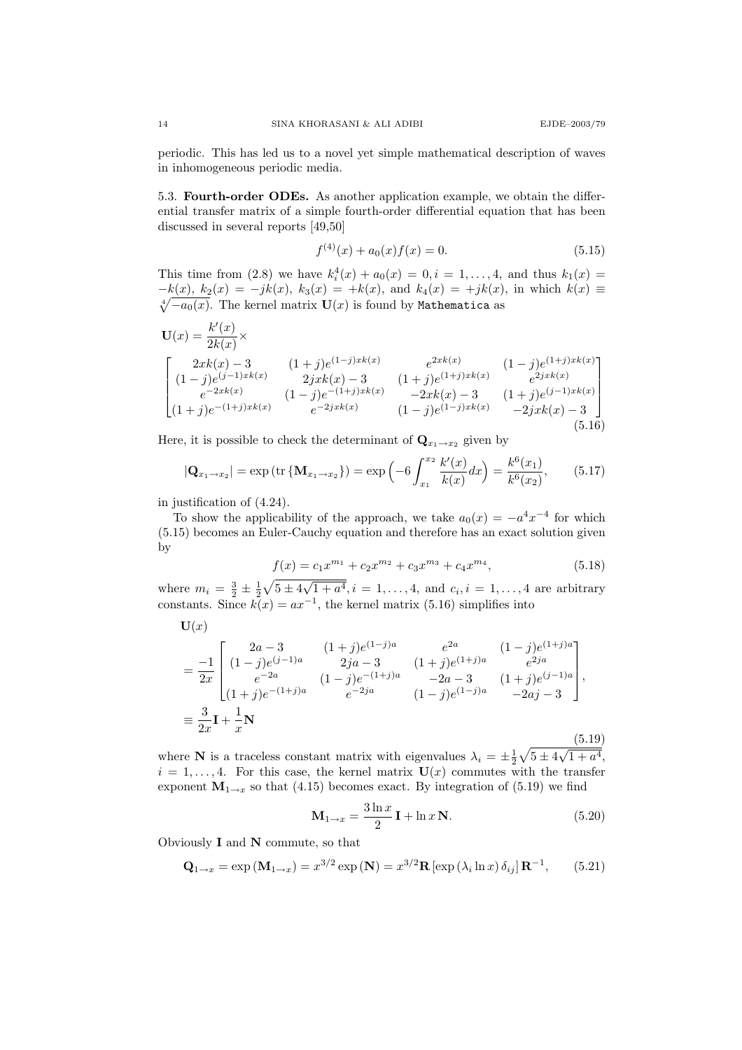periodic. This has led us to a novel yet simple mathematical description of waves in inhomogeneous periodic media.

5.3. Fourth-order ODEs. As another application example, we obtain the differential transfer matrix of a simple fourth-order differential equation that has been discussed in several reports [49,50]

$$
f^{(4)}(x) + a_0(x)f(x) = 0.
$$
\n(5.15)

This time from (2.8) we have  $k_i^4(x) + a_0(x) = 0, i = 1, ..., 4$ , and thus  $k_1(x) =$  $-k(x), k_2(x) = -jk(x), k_3(x) = +k(x),$  and  $k_4(x) = +jk(x),$  in which  $k(x) \equiv$  $\sqrt[4]{-a_0(x)}$ . The kernel matrix  $\mathbf{U}(x)$  is found by Mathematica as

$$
\mathbf{U}(x) = \frac{k'(x)}{2k(x)} \times \n\begin{bmatrix}\n2xk(x) - 3 & (1+j)e^{(1-j)xk(x)} & e^{2xk(x)} & (1-j)e^{(1+j)xk(x)} \\
(1-j)e^{(j-1)xk(x)} & 2jxk(x) - 3 & (1+j)e^{(1+j)xk(x)} & e^{2jxk(x)} \\
e^{-2xk(x)} & (1-j)e^{-(1+j)xk(x)} & -2xk(x) - 3 & (1+j)e^{(j-1)xk(x)} \\
(1+j)e^{-(1+j)xk(x)} & e^{-2jxk(x)} & (1-j)e^{(1-j)xk(x)} & -2jxk(x) - 3\n\end{bmatrix}
$$
\n(5.16)

Here, it is possible to check the determinant of  $\mathbf{Q}_{x_1 \to x_2}$  given by

$$
|\mathbf{Q}_{x_1 \to x_2}| = \exp\left(\text{tr}\left\{\mathbf{M}_{x_1 \to x_2}\right\}\right) = \exp\left(-6 \int_{x_1}^{x_2} \frac{k'(x)}{k(x)} dx\right) = \frac{k^6(x_1)}{k^6(x_2)},\tag{5.17}
$$

in justification of (4.24).

 $\mathbf{U}(x)$ 

To show the applicability of the approach, we take  $a_0(x) = -a^4x^{-4}$  for which (5.15) becomes an Euler-Cauchy equation and therefore has an exact solution given by

$$
f(x) = c_1 x^{m_1} + c_2 x^{m_2} + c_3 x^{m_3} + c_4 x^{m_4},
$$
\n(5.18)

where  $m_i = \frac{3}{2} \pm \frac{1}{2} \sqrt{5 \pm 4}$ √  $1 + a^4$ ,  $i = 1, \ldots, 4$ , and  $c_i$ ,  $i = 1, \ldots, 4$  are arbitrary constants. Since  $k(x) = ax^{-1}$ , the kernel matrix (5.16) simplifies into

$$
= \frac{-1}{2x} \begin{bmatrix} 2a-3 & (1+j)e^{(1-j)a} & e^{2a} & (1-j)e^{(1+j)a} \\ (1-j)e^{(j-1)a} & 2ja-3 & (1+j)e^{(1+j)a} & e^{2ja} \\ e^{-2a} & (1-j)e^{-(1+j)a} & -2a-3 & (1+j)e^{(j-1)a} \\ (1+j)e^{-(1+j)a} & e^{-2ja} & (1-j)e^{(1-j)a} & -2aj-3 \end{bmatrix},
$$
  

$$
\equiv \frac{3}{2x}\mathbf{I} + \frac{1}{x}\mathbf{N}
$$
 (5.19)

where **N** is a traceless constant matrix with eigenvalues  $\lambda_i = \pm \frac{1}{2} \sqrt{5 \pm 4}$ √  $1 + a^4$ ,  $i = 1, \ldots, 4$ . For this case, the kernel matrix  $\mathbf{U}(x)$  commutes with the transfer exponent  $M_{1\rightarrow x}$  so that (4.15) becomes exact. By integration of (5.19) we find

$$
\mathbf{M}_{1\rightarrow x} = \frac{3\ln x}{2}\mathbf{I} + \ln x\,\mathbf{N}.\tag{5.20}
$$

Obviously  $I$  and  $N$  commute, so that

$$
\mathbf{Q}_{1\rightarrow x} = \exp\left(\mathbf{M}_{1\rightarrow x}\right) = x^{3/2} \exp\left(\mathbf{N}\right) = x^{3/2} \mathbf{R} \left[\exp\left(\lambda_i \ln x\right) \delta_{ij}\right] \mathbf{R}^{-1},\qquad(5.21)
$$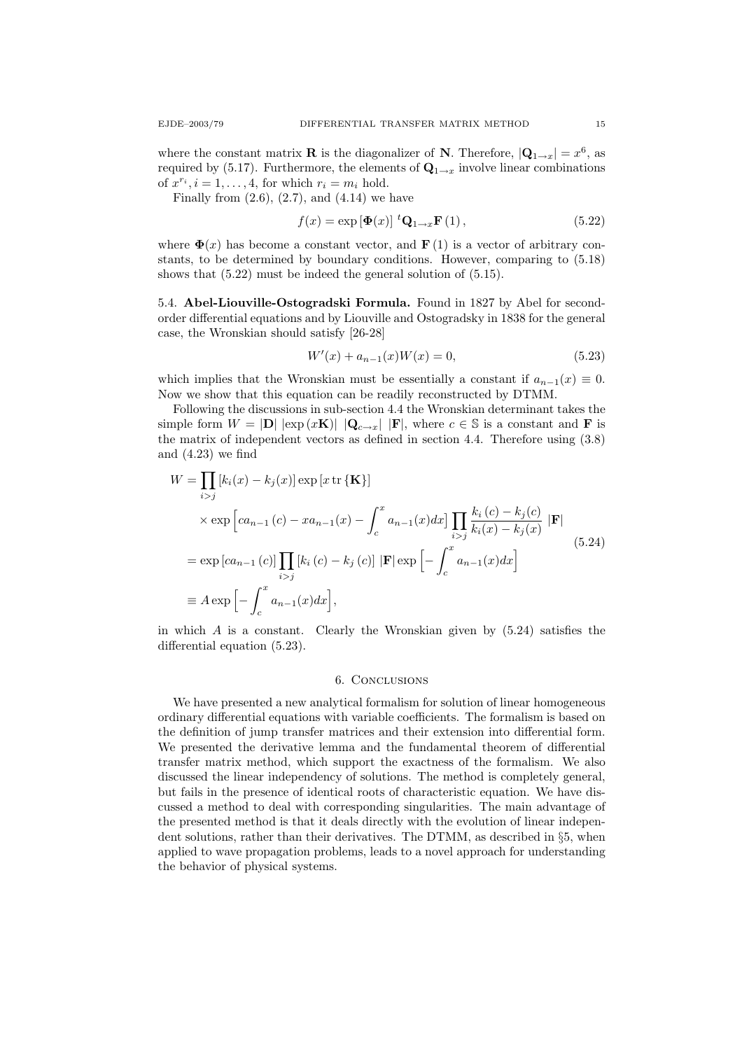where the constant matrix **R** is the diagonalizer of **N**. Therefore,  $|\mathbf{Q}_{1\rightarrow x}| = x^6$ , as required by (5.17). Furthermore, the elements of  $\mathbf{Q}_{1\rightarrow x}$  involve linear combinations of  $x^{r_i}$ ,  $i = 1, ..., 4$ , for which  $r_i = m_i$  hold.

Finally from  $(2.6)$ ,  $(2.7)$ , and  $(4.14)$  we have

$$
f(x) = \exp\left[\Phi(x)\right] \, {}^{t}\mathbf{Q}_{1\to x}\mathbf{F}\left(1\right),\tag{5.22}
$$

where  $\mathbf{\Phi}(x)$  has become a constant vector, and  $\mathbf{F}(1)$  is a vector of arbitrary constants, to be determined by boundary conditions. However, comparing to (5.18) shows that (5.22) must be indeed the general solution of (5.15).

5.4. Abel-Liouville-Ostogradski Formula. Found in 1827 by Abel for secondorder differential equations and by Liouville and Ostogradsky in 1838 for the general case, the Wronskian should satisfy [26-28]

$$
W'(x) + a_{n-1}(x)W(x) = 0,
$$
\n(5.23)

which implies that the Wronskian must be essentially a constant if  $a_{n-1}(x) \equiv 0$ . Now we show that this equation can be readily reconstructed by DTMM.

Following the discussions in sub-section 4.4 the Wronskian determinant takes the simple form  $W = |D| |\exp(xK)| |Q_{c\rightarrow x}| |F|$ , where  $c \in S$  is a constant and **F** is the matrix of independent vectors as defined in section 4.4. Therefore using (3.8) and (4.23) we find

$$
W = \prod_{i > j} [k_i(x) - k_j(x)] \exp [x \text{ tr } {\mathbf{K}}]
$$
  
\n
$$
\times \exp [ca_{n-1}(c) - xa_{n-1}(x) - \int_c^x a_{n-1}(x) dx] \prod_{i > j} \frac{k_i(c) - k_j(c)}{k_i(x) - k_j(x)} |F|
$$
  
\n
$$
= \exp [ca_{n-1}(c)] \prod_{i > j} [k_i(c) - k_j(c)] |F| \exp \left[ - \int_c^x a_{n-1}(x) dx \right]
$$
  
\n
$$
\equiv A \exp \left[ - \int_c^x a_{n-1}(x) dx \right],
$$
\n(5.24)

in which  $A$  is a constant. Clearly the Wronskian given by  $(5.24)$  satisfies the differential equation (5.23).

## 6. Conclusions

We have presented a new analytical formalism for solution of linear homogeneous ordinary differential equations with variable coefficients. The formalism is based on the definition of jump transfer matrices and their extension into differential form. We presented the derivative lemma and the fundamental theorem of differential transfer matrix method, which support the exactness of the formalism. We also discussed the linear independency of solutions. The method is completely general, but fails in the presence of identical roots of characteristic equation. We have discussed a method to deal with corresponding singularities. The main advantage of the presented method is that it deals directly with the evolution of linear independent solutions, rather than their derivatives. The DTMM, as described in §5, when applied to wave propagation problems, leads to a novel approach for understanding the behavior of physical systems.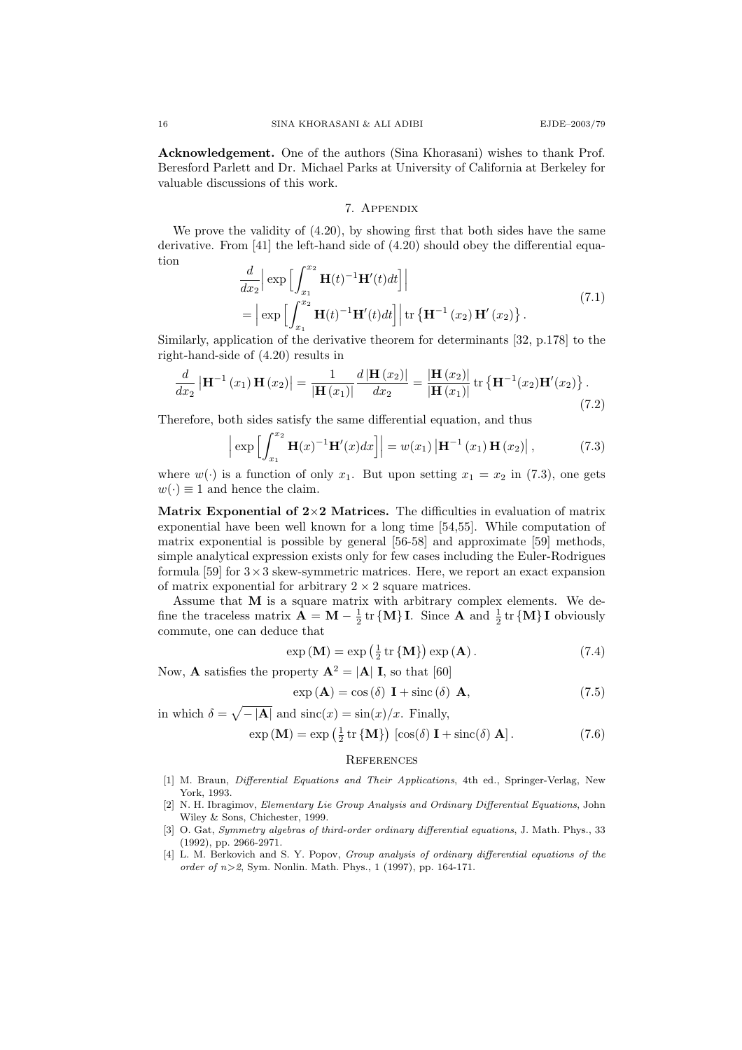Acknowledgement. One of the authors (Sina Khorasani) wishes to thank Prof. Beresford Parlett and Dr. Michael Parks at University of California at Berkeley for valuable discussions of this work.

### 7. Appendix

We prove the validity of  $(4.20)$ , by showing first that both sides have the same derivative. From [41] the left-hand side of (4.20) should obey the differential equation

$$
\frac{d}{dx_2} \Big| \exp \Big[ \int_{x_1}^{x_2} \mathbf{H}(t)^{-1} \mathbf{H}'(t) dt \Big] \Big|
$$
\n
$$
= \Big| \exp \Big[ \int_{x_1}^{x_2} \mathbf{H}(t)^{-1} \mathbf{H}'(t) dt \Big] \Big| \operatorname{tr} \left\{ \mathbf{H}^{-1} (x_2) \mathbf{H}' (x_2) \right\}. \tag{7.1}
$$

Similarly, application of the derivative theorem for determinants [32, p.178] to the right-hand-side of (4.20) results in

$$
\frac{d}{dx_2} \left| \mathbf{H}^{-1}(x_1) \mathbf{H}(x_2) \right| = \frac{1}{|\mathbf{H}(x_1)|} \frac{d \left| \mathbf{H}(x_2) \right|}{dx_2} = \frac{|\mathbf{H}(x_2)|}{|\mathbf{H}(x_1)|} tr \left\{ \mathbf{H}^{-1}(x_2) \mathbf{H}'(x_2) \right\}.
$$
\n(7.2)

Therefore, both sides satisfy the same differential equation, and thus

$$
\left| \exp \left[ \int_{x_1}^{x_2} \mathbf{H}(x)^{-1} \mathbf{H}'(x) dx \right] \right| = w(x_1) \left| \mathbf{H}^{-1}(x_1) \mathbf{H}(x_2) \right|, \tag{7.3}
$$

where  $w(\cdot)$  is a function of only  $x_1$ . But upon setting  $x_1 = x_2$  in (7.3), one gets  $w(\cdot) \equiv 1$  and hence the claim.

Matrix Exponential of  $2\times 2$  Matrices. The difficulties in evaluation of matrix exponential have been well known for a long time [54,55]. While computation of matrix exponential is possible by general [56-58] and approximate [59] methods, simple analytical expression exists only for few cases including the Euler-Rodrigues formula [59] for  $3 \times 3$  skew-symmetric matrices. Here, we report an exact expansion of matrix exponential for arbitrary  $2 \times 2$  square matrices.

Assume that  $M$  is a square matrix with arbitrary complex elements. We define the traceless matrix  $\mathbf{A} = \mathbf{M} - \frac{1}{2} \text{tr} \{ \mathbf{M} \} \mathbf{I}$ . Since  $\mathbf{A}$  and  $\frac{1}{2} \text{tr} \{ \mathbf{M} \} \mathbf{I}$  obviously commute, one can deduce that

$$
\exp\left(\mathbf{M}\right) = \exp\left(\frac{1}{2}\operatorname{tr}\left\{\mathbf{M}\right\}\right)\exp\left(\mathbf{A}\right). \tag{7.4}
$$

Now, **A** satisfies the property  $A^2 = |A| I$ , so that [60]

$$
\exp\left(\mathbf{A}\right) = \cos\left(\delta\right) \mathbf{I} + \text{sinc}\left(\delta\right) \mathbf{A},\tag{7.5}
$$

in which  $\delta = \sqrt{-|\mathbf{A}|}$  and  $\text{sinc}(x) = \sin(x)/x$ . Finally,

$$
\exp\left(\mathbf{M}\right) = \exp\left(\frac{1}{2}\operatorname{tr}\left\{\mathbf{M}\right\}\right) \left[\cos(\delta)\mathbf{I} + \operatorname{sinc}(\delta)\mathbf{A}\right].\tag{7.6}
$$

### **REFERENCES**

- [1] M. Braun, Differential Equations and Their Applications, 4th ed., Springer-Verlag, New York, 1993.
- [2] N. H. Ibragimov, Elementary Lie Group Analysis and Ordinary Differential Equations, John Wiley & Sons, Chichester, 1999.
- [3] O. Gat, Symmetry algebras of third-order ordinary differential equations, J. Math. Phys., 33 (1992), pp. 2966-2971.
- [4] L. M. Berkovich and S. Y. Popov, Group analysis of ordinary differential equations of the order of  $n>2$ , Sym. Nonlin. Math. Phys., 1 (1997), pp. 164-171.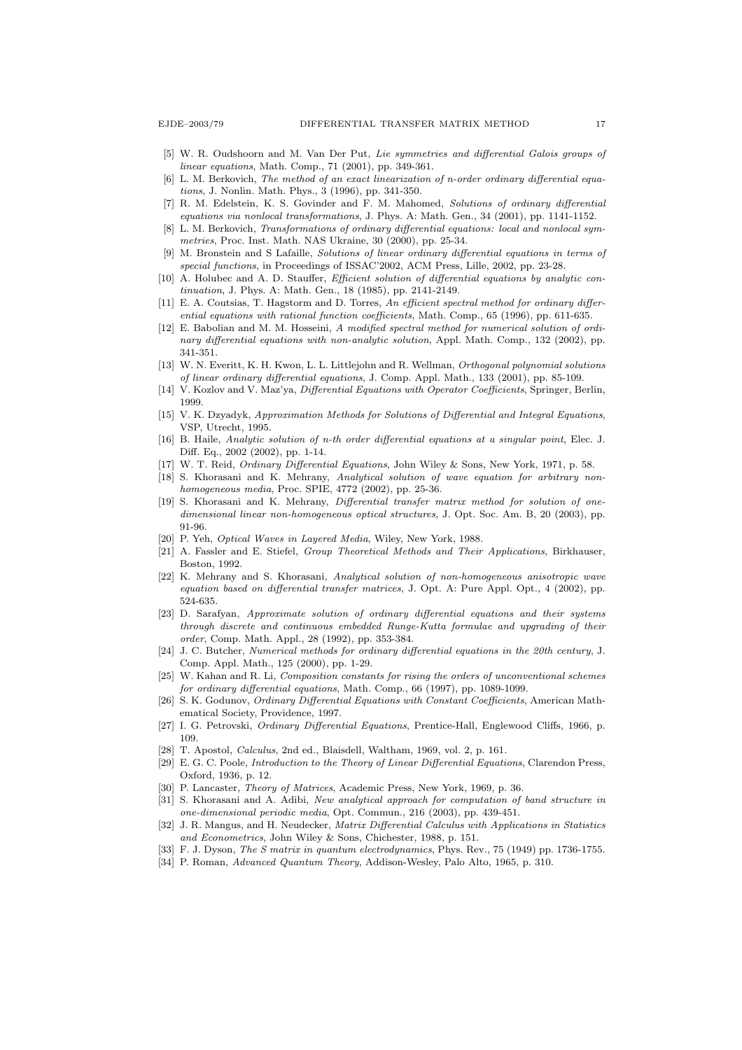- [5] W. R. Oudshoorn and M. Van Der Put, Lie symmetries and differential Galois groups of linear equations, Math. Comp., 71 (2001), pp. 349-361.
- [6] L. M. Berkovich, The method of an exact linearization of n-order ordinary differential equations, J. Nonlin. Math. Phys., 3 (1996), pp. 341-350.
- [7] R. M. Edelstein, K. S. Govinder and F. M. Mahomed, Solutions of ordinary differential equations via nonlocal transformations, J. Phys. A: Math. Gen., 34 (2001), pp. 1141-1152.
- [8] L. M. Berkovich, Transformations of ordinary differential equations: local and nonlocal symmetries, Proc. Inst. Math. NAS Ukraine, 30 (2000), pp. 25-34.
- [9] M. Bronstein and S Lafaille, Solutions of linear ordinary differential equations in terms of special functions, in Proceedings of ISSAC'2002, ACM Press, Lille, 2002, pp. 23-28.
- [10] A. Holubec and A. D. Stauffer, *Efficient solution of differential equations by analytic con*tinuation, J. Phys. A: Math. Gen., 18 (1985), pp. 2141-2149.
- [11] E. A. Coutsias, T. Hagstorm and D. Torres, An efficient spectral method for ordinary differential equations with rational function coefficients, Math. Comp., 65 (1996), pp. 611-635.
- [12] E. Babolian and M. M. Hosseini, A modified spectral method for numerical solution of ordinary differential equations with non-analytic solution, Appl. Math. Comp., 132 (2002), pp. 341-351.
- [13] W. N. Everitt, K. H. Kwon, L. L. Littlejohn and R. Wellman, Orthogonal polynomial solutions of linear ordinary differential equations, J. Comp. Appl. Math., 133 (2001), pp. 85-109.
- [14] V. Kozlov and V. Maz'ya, Differential Equations with Operator Coefficients, Springer, Berlin, 1999.
- [15] V. K. Dzyadyk, Approximation Methods for Solutions of Differential and Integral Equations, VSP, Utrecht, 1995.
- [16] B. Haile, Analytic solution of n-th order differential equations at a singular point, Elec. J. Diff. Eq., 2002 (2002), pp. 1-14.
- [17] W. T. Reid, Ordinary Differential Equations, John Wiley & Sons, New York, 1971, p. 58.
- [18] S. Khorasani and K. Mehrany, Analytical solution of wave equation for arbitrary nonhomogeneous media, Proc. SPIE, 4772 (2002), pp. 25-36.
- [19] S. Khorasani and K. Mehrany, Differential transfer matrix method for solution of onedimensional linear non-homogeneous optical structures, J. Opt. Soc. Am. B, 20 (2003), pp. 91-96.
- [20] P. Yeh, Optical Waves in Layered Media, Wiley, New York, 1988.
- [21] A. Fassler and E. Stiefel, Group Theoretical Methods and Their Applications, Birkhauser, Boston, 1992.
- [22] K. Mehrany and S. Khorasani, Analytical solution of non-homogeneous anisotropic wave equation based on differential transfer matrices, J. Opt. A: Pure Appl. Opt., 4 (2002), pp. 524-635.
- [23] D. Sarafyan, Approximate solution of ordinary differential equations and their systems through discrete and continuous embedded Runge-Kutta formulae and upgrading of their order, Comp. Math. Appl., 28 (1992), pp. 353-384.
- [24] J. C. Butcher, Numerical methods for ordinary differential equations in the 20th century, J. Comp. Appl. Math., 125 (2000), pp. 1-29.
- [25] W. Kahan and R. Li, Composition constants for rising the orders of unconventional schemes for ordinary differential equations, Math. Comp., 66 (1997), pp. 1089-1099.
- [26] S. K. Godunov, Ordinary Differential Equations with Constant Coefficients, American Mathematical Society, Providence, 1997.
- [27] I. G. Petrovski, Ordinary Differential Equations, Prentice-Hall, Englewood Cliffs, 1966, p. 109.
- [28] T. Apostol, Calculus, 2nd ed., Blaisdell, Waltham, 1969, vol. 2, p. 161.
- [29] E. G. C. Poole, Introduction to the Theory of Linear Differential Equations, Clarendon Press, Oxford, 1936, p. 12.
- [30] P. Lancaster, Theory of Matrices, Academic Press, New York, 1969, p. 36.
- [31] S. Khorasani and A. Adibi, New analytical approach for computation of band structure in one-dimensional periodic media, Opt. Commun., 216 (2003), pp. 439-451.
- [32] J. R. Mangus, and H. Neudecker, *Matrix Differential Calculus with Applications in Statistics* and Econometrics, John Wiley & Sons, Chichester, 1988, p. 151.
- [33] F. J. Dyson, The S matrix in quantum electrodynamics, Phys. Rev., 75 (1949) pp. 1736-1755.
- [34] P. Roman, Advanced Quantum Theory, Addison-Wesley, Palo Alto, 1965, p. 310.